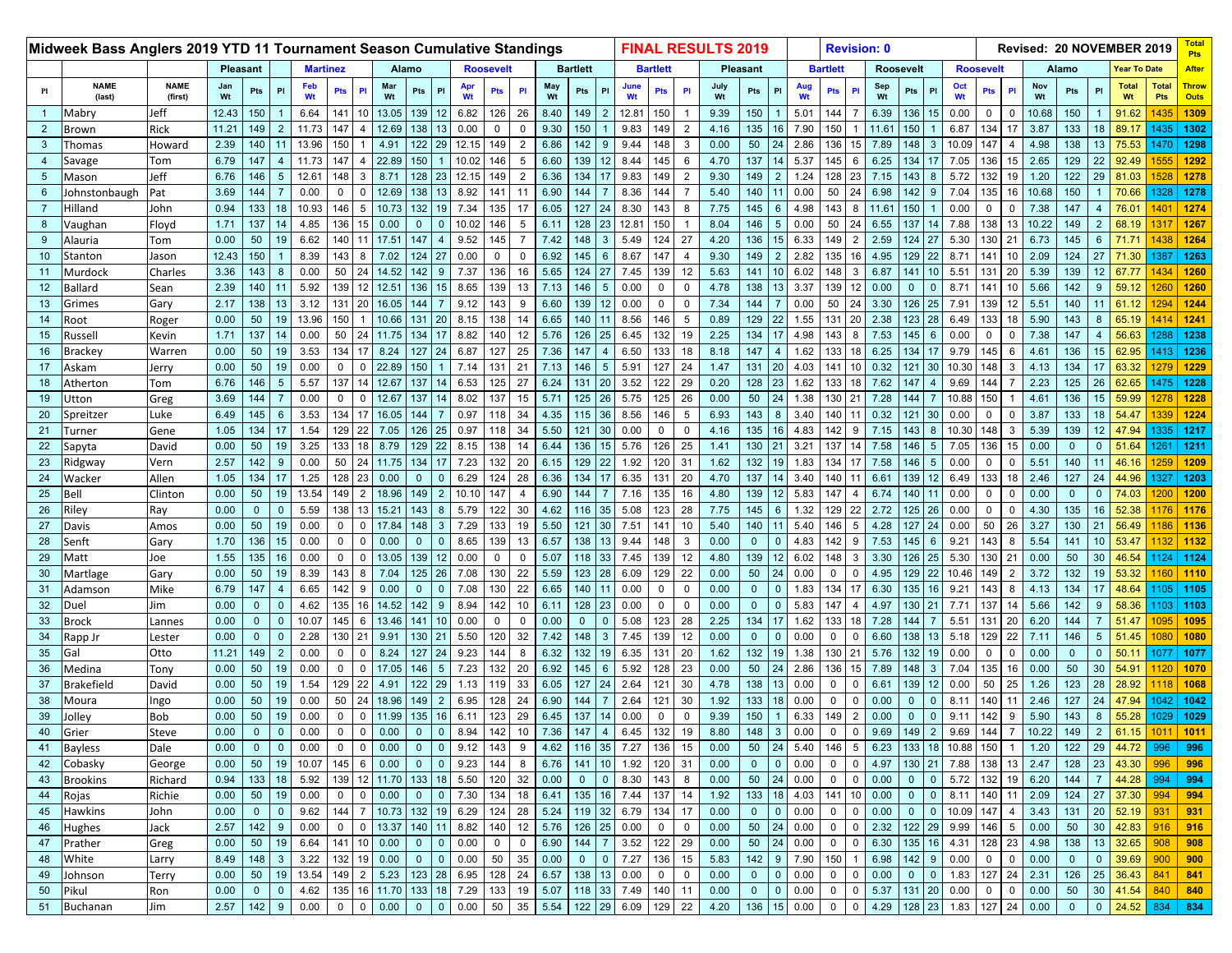|                 | Midweek Bass Anglers 2019 YTD 11 Tournament Season Cumulative Standings |                        |                 |                |                |                 |              |                |                  |              |                |           |                  |                |           |                 |                  |             |                 |                | <b>FINAL RESULTS 2019</b> |              |                 |           |                 | <b>Revision: 0</b> |                  |                |                      |                  |                  |                |           |                |                | Revised: 20 NOVEMBER 2019 |                     |                             |
|-----------------|-------------------------------------------------------------------------|------------------------|-----------------|----------------|----------------|-----------------|--------------|----------------|------------------|--------------|----------------|-----------|------------------|----------------|-----------|-----------------|------------------|-------------|-----------------|----------------|---------------------------|--------------|-----------------|-----------|-----------------|--------------------|------------------|----------------|----------------------|------------------|------------------|----------------|-----------|----------------|----------------|---------------------------|---------------------|-----------------------------|
|                 |                                                                         |                        | <b>Pleasant</b> |                |                | <b>Martinez</b> |              |                | Alamo            |              |                |           | <b>Roosevelt</b> |                |           | <b>Bartlett</b> |                  |             | <b>Bartlett</b> |                |                           | Pleasant     |                 |           | <b>Bartlett</b> |                    | <b>Roosevelt</b> |                |                      | <b>Roosevelt</b> |                  |                |           | Alamo          |                | <b>Year To Date</b>       |                     | <b>After</b>                |
| Pl              | <b>NAME</b><br>(last)                                                   | <b>NAME</b><br>(first) | Jan<br>Wt       | Pts            | PI             | Feb<br>Wt       | <b>Pts</b>   | PI             | Mar<br>Wt        | Pts          | PI             | Apr<br>Wt | Pts              | P              | May<br>Wt | Pts             | PI               | June<br>Wt  | Pts             | PI             | July<br>Wt                | Pts          |                 | Aug<br>Wt | <b>Pts</b>      | P                  | Sep<br>Wt        | Pts            | PI                   | Wt               | <b>Pts</b>       | PI             | Nov<br>Wt | Pts            | PI             | <b>Total</b><br>Wt        | <b>Total</b><br>Pts | <b>Throw</b><br><b>Outs</b> |
| $\blacklozenge$ | Mabry                                                                   | Jeff                   | 12.43           | 150            |                | 6.64            | 141          | 10             | 13.05            | 139          | 12             | 6.82      | 126              | 26             | 8.40      | 149             | $\overline{2}$   | 12.81       | 150             |                | 9.39                      | 150          |                 | 5.01      | 144             |                    | 6.39             | 136            | 15                   | 0.00             | 0                | 0              | 10.68     | 150            |                | 91.62                     | 1435                | 1309                        |
| $\overline{2}$  | Brown                                                                   | Rick                   | 11.21           | 149            | 2              | 11.73           | 147          |                | 12.69            | 138          | 13             | 0.00      | $\mathbf 0$      | $\Omega$       | 9.30      | 150             |                  | 9.83        | 149             | 2              | 4.16                      | 135          | 16              | 7.90      | 150             |                    | 11.61            | 150            |                      | 6.87             | 134              | 17             | 3.87      | 133            | 18             | 89.17                     | 1435                | 1302                        |
| $\mathbf{3}$    | Thomas                                                                  | Howard                 | 2.39            | 140            |                | 13.96           | 150          |                | 4.91             | 122          | 29             | 12.15     | 149              | $\overline{2}$ | 6.86      | 142             | 9                | 9.44        | 148             | 3              | 0.00                      | 50           | 24              | 2.86      | 136             | 15                 | 7.89             | 148            | $\mathbf{3}$         | 10.09            | 147              | 4              | 4.98      | 138            | 13             | 75.53                     | 1470                | 1298                        |
| $\overline{4}$  | Savage                                                                  | Tom                    | 6.79            | 147            |                | 11.73           | 147          |                | 22.89            | 150          |                | 10.02     | 146              |                | 6.60      | 139             | 12               | 8.44        | 145             | 6              | 4.70                      | 137          |                 | 5.37      | 145             | 6                  | 6.25             | 134            | 17                   | 7.05             | 136              | 15             | 2.65      | 129            | 22             | 92.49                     |                     | 1292                        |
| $5\overline{5}$ | Mason                                                                   | Jeff                   | 6.76            | 146            | -5             | 12.61           | 148          | $\mathbf{3}$   | 8.71             | 128          | 23             | 12.15     | 149              | $\overline{2}$ | 6.36      | 134             | 17               | 9.83        | 149             | 2              | 9.30                      | 149          | 2               | 1.24      | 128             | 23                 | 7.15             | 143            | 8                    | 5.72             | 132              | 19             | 1.20      | 122            | 29             | 81.03                     | 1528                | 1278                        |
| 6               | Johnstonbaugh                                                           | Pat                    | 3.69            | 144            |                | 0.00            | 0            | 0              | 12.69            | 138          |                | 8.92      | 141              | 11             | 6.90      | 144             | $\overline{7}$   | 8.36        | 144             |                | 5.40                      | 140          |                 | 0.00      | 50              | 24                 | 6.98             | 142            | 9                    | 7.04             | 135              | 16             | 10.68     | 150            |                | 70.66                     | 1328                | 1278                        |
| $\overline{7}$  | Hilland                                                                 | John                   | 0.94            | 133            | 18             | 10.93           | 146          | 5              | 10.73            | 132          | 19             | 7.34      | 135              | 17             | 6.05      | 127             | 24               | 8.30        | 143             | 8              | 7.75                      | 145          | 6               | 4.98      | 143             | 8                  | 11.61            | 150            | $\blacktriangleleft$ | 0.00             | 0                | $\Omega$       | 7.38      | 147            |                | 76.01                     | 1401                | 1274                        |
| 8               | Vaughan                                                                 | Floyd                  | 1.71            | 137            |                | 4.85            | 136          | 15             | 0.00             | $\mathbf 0$  | $\Omega$       | 10.02     | 146              | 5              | 6.11      | 128             | 23               | 12.81       | 150             |                | 8.04                      | 146          | 5               | 0.00      | 50              | 24                 | 6.55             | 137            | 14                   | 7.88             | 138              | 13             | 10.22     | 149            | $\overline{2}$ | 68.19                     | 131                 | 1267                        |
| 9               | Alauria                                                                 | Tom                    | 0.00            | 50             |                | 6.62            | 140          | 11             | 17.51            | 147          |                | 9.52      | 145              |                | 7.42      | 148             | 3                | 5.49        | 124             | 27             | 4.20                      | 136          |                 | 6.33      | 149             | $\overline{2}$     | 2.59             | 124            | 27                   | 5.30             | 130 <sub>1</sub> | 21             | 6.73      | 145            | 6              | 71.7                      |                     | 1264                        |
| 10              | Stanton                                                                 | Jason                  | 12.43           | 150            |                | 8.39            | 143          | 8              | 7.02             | 124          | 27             | 0.00      | $\mathbf 0$      | $\Omega$       | 6.92      | 145             | 6                | 8.67        | 147             | $\overline{4}$ | 9.30                      | 149          | 2               | 2.82      | 135             | 16                 | 4.95             | 129            | 22                   | 8.71             | 141              | 10             | 2.09      | 124            | 27             | 71.30                     | 1387                | 1263                        |
| 11              | Murdock                                                                 | Charles                | 3.36            | 143            |                | 0.00            | 50           | 24             | 14.52            | 142          |                | 7.37      | 136              | 16             | 5.65      | 124             | 27               | 7.45        | 139             | 12             | 5.63                      | 141          |                 | 6.02      | 148             | 3                  | 6.87             | 141            | 10                   | 5.51             | 131              | 20             | 5.39      | 139            | 12             | 67.77                     | 1434                | 1260                        |
| 12              | Ballard                                                                 | Sean                   | 2.39            | 140            |                | 5.92            | 139          | 12             | 12.51            | 136          | 15             | 8.65      | 139              | 13             | 7.13      | 146             | 5                | 0.00        | 0               | $\Omega$       | 4.78                      | 138          | 13              | 3.37      | 139             | 12                 | 0.00             | $\mathbf{0}$   | $\mathbf{0}$         | 8.71             | 141              | 10             | 5.66      | 142            | -9             | 59.12                     |                     | 1260                        |
| 13              | Grimes                                                                  | Gary                   | 2.17            | 138            | 13             | 3.12            | 131          | 20             | 16.05            | 144          |                | 9.12      | 143              | 9              | 6.60      | 139             | 12               | 0.00        | $\mathbf 0$     | $\mathbf 0$    | 7.34                      | 144          |                 | 0.00      | 50              | 24                 | 3.30             | 126            | 25                   | 7.91             | 139              | 12             | 5.51      | 140            | 11             | 61.12                     | 1294                | 1244                        |
| 14              | Root                                                                    | Roger                  | 0.00            | 50             |                | 13.96           | 150          |                | 10.66            | 131          | 20             | 8.15      | 138              | 14             | 6.65      | 140             |                  | 8.56        | 146             | 5              | 0.89                      | 129          | 22              | 1.55      | 131             | 20                 | 2.38             | 123            | 28                   | 6.49             | 133              | 18             | 5.90      | 143            |                | 65.19                     |                     | 124 <sup>1</sup>            |
| 15              | Russell                                                                 | Kevin                  | 1.71            | 137            | 14             | 0.00            | 50           | 24             | 11.75            | 134          |                | 8.82      | 140              | 12             | 5.76      | 126             | 25               | 6.45        | 132             | 19             | 2.25                      | 134          | 17              | 4.98      | 143             | 8                  | 7.53             | 145            | 6                    | 0.00             | $\mathbf 0$      | $\mathbf 0$    | 7.38      | 147            | -4             | 56.63                     | 1288                | 1238                        |
| 16              | Brackey                                                                 | Warren                 | 0.00            | 50             | 19             | 3.53            | 134          | 17             | 8.24             | 127          | 24             | 6.87      | 127              | 25             | 7.36      | 147             | $\overline{4}$   | 6.50        | 133             | 18             | 8.18                      | 147          |                 | 1.62      | 133             | 18                 | 6.25             | 134            | 17                   | 9.79             | 145              | 6              | 4.61      | 136            | 15             | 62.95                     | 1413                | 1236                        |
| 17              | Askam                                                                   | Jerry                  | 0.00            | 50             | 19             | 0.00            | $\mathbf{0}$ | $\Omega$       | 22.89            | 150          |                | 7.14      | 131              | 21             | 7.13      | 146             | $5\phantom{.0}$  | 5.91        | 127             | 24             | 1.47                      | 131          | 20              | 4.03      | 141             | 10                 | 0.32             | 121            | 30                   | 10.30            | 148              | 3              | 4.13      | 134            | 17             | 63.32                     |                     | 1229                        |
| 18              | Atherton                                                                | Tom                    | 6.76            | 146            | 5              | 5.57            | 137          | 14             | 12.67            | 137          |                | 6.53      | 125              | 27             | 6.24      | 131             | 20               | 3.52        | 122             | 29             | 0.20                      | 128          | 23              | 1.62      | 133             | 18                 | 7.62             | 147            | $\overline{4}$       | 9.69             | 144              | $\overline{7}$ | 2.23      | 125            | 26             | 62.65                     | 1475                | 1228                        |
| 19              | Jtton                                                                   | Greg                   | 3.69            | 144            |                | 0.00            |              |                | 12.67            | 137          |                | 8.02      | 137              | 15             | 5.71      | 125             | 26               | 5.75        | 125             | 26             | 0.00                      | 50           | 24              | 1.38      | 130             | 21                 | 7.28             | 144            | $\overline{7}$       | 10.88            | 150              |                | 4.61      | 136            | 15             | 59.99                     |                     | 1228                        |
| 20              | Spreitzer                                                               | Luke                   | 6.49            | 145            | 6              | 3.53            | 134          | 17             | 16.05            | 144          |                | 0.97      | 118              | 34             | 4.35      | 115             | 36               | 8.56        | 146             | 5              | 6.93                      | 143          | 8               | 3.40      | 140             | 11                 | 0.32             | 121            | 30                   | 0.00             | $\mathbf 0$      | $\mathbf 0$    | 3.87      | 133            | 18             | 54.47                     | 1339                | 1224                        |
| 21              | Turner                                                                  | Gene                   | 1.05            | 134            |                | 1.54            | 129          | 22             | 7.05             | 126          | 25             | 0.97      | 118              | 34             | 5.50      | 121             | 30               | 0.00        | $\mathbf 0$     | $\mathbf 0$    | 4.16                      | 135          | 16              | 4.83      | 142             | -9                 | 7.15             | 143            | 8                    | 10.30            | 148              | 3              | 5.39      | 139            | 12             | 47.94                     | 1335                | 1217                        |
| 22              | Sapyta                                                                  | David                  | 0.00            | 50             | 19             | 3.25            | 133          | 18             | 8.79             | 129          | 22             | 8.15      | 138              | 14             | 6.44      | 136             | 15 <sub>15</sub> | 5.76        | 126             | 25             | 1.41                      | 130          | 21              | 3.21      | 137             | 14                 | 7.58             | 146            | $5\phantom{.0}$      | 7.05             | 136              | 15             | 0.00      | $\mathbf 0$    | $\mathbf{0}$   | 51.64                     | 1261                | 1211                        |
| 23              | Ridgway                                                                 | Vern                   | 2.57            | 142            |                | 0.00            | 50           | 24             | 11.75            | 134          |                | 7.23      | 132              | 20             | 6.15      | 129             | 22               | 1.92        | 120             | 31             | 1.62                      | 132          | 19              | 1.83      | 134             | 17                 | 7.58             | 146            | $5\overline{)}$      | 0.00             | $\mathbf 0$      | $\mathbf 0$    | 5.51      | 140            | 11             | 46.16                     | 1259                | 1209                        |
| 24              | Wacker                                                                  | Allen                  | 1.05            | 134            |                | 1.25            | 128          | 23             | 0.00             |              |                | 6.29      | 124              | 28             | 6.36      | 134             | 17               | 6.35        | 131             | 20             | 4.70                      | 137          |                 | 3.40      | 140             |                    | 6.61             | 139            | 12                   | 6.49             | 133              | 18             | 2.46      | 127            | 24             | 44.96                     | 1327                | 1203                        |
| 25              | Bell                                                                    | Clinton                | 0.00            | 50             | 19             | 13.54           | 149          | 2              | 18.96            | 149          | 2              | 10.10     | 147              | $\overline{4}$ | 6.90      | 144             | $\overline{7}$   | 7.16        | 135             | 16             | 4.80                      | 139          | 12 <sup>1</sup> | 5.83      | 147             | -4                 | 6.74             | 140            | 11                   | 0.00             | $\mathbf 0$      | $\mathbf 0$    | 0.00      | $\mathbf{0}$   | $\mathbf{0}$   | 74.03                     | 1200                | 1200                        |
| 26              | Riley                                                                   | Ray                    | 0.00            | $\mathbf{0}$   |                | 5.59            | 138          | 13             | 15.21            | 143          |                | 5.79      | 122              | 30             | 4.62      | 116             | 35               | 5.08        | 123             | 28             | 7.75                      | 145          | 6               | 1.32      | 129             | 22                 | 2.72             | 125            | 26                   | 0.00             | $\mathbf 0$      | 0              | 4.30      | 135            | 16             | 52.38                     | 1176                | 1176                        |
| 27              | Davis                                                                   | Amos                   | 0.00            | 50             | 19             | 0.00            | $\Omega$     | 0              | 17.84            | 148          | 3              | 7.29      | 133              | 19             | 5.50      | 121             | 30               | 7.51        | 141             | 10             | 5.40                      | 140          |                 | 5.40      | 146             | -5                 | 4.28             | 127            | 24                   | 0.00             | 50               | 26             | 3.27      | 130            | 21             | 56.49                     |                     | 1136                        |
| 28              | Senft                                                                   | Gary                   | 1.70            | 136            | 15             | 0.00            | $\mathbf 0$  | $\mathbf{0}$   | 0.00             | $\mathbf 0$  | $\Omega$       | 8.65      | 139              | 13             | 6.57      | 138             | 13               | 9.44        | 148             | 3              | 0.00                      | $\mathbf{0}$ | $\Omega$        | 4.83      | 142             | 9                  | 7.53             | 145            | $6\overline{6}$      | 9.21             | 143              | 8              | 5.54      | 141            | 10             | 53.47                     | 1132                | 1132                        |
| 29              | Matt                                                                    | Joe                    | 1.55            | 135            |                | 0.00            |              |                | 13.05            | 139          |                | 0.00      | 0                |                | 5.07      | 118             | 33               | 7.45        | 139             | 12             | 4.80                      | 139          |                 | 6.02      | 148             | 3                  | 3.30             | 126            | 25                   | 5.30             | 130 <sub>1</sub> | 21             | 0.00      | 50             | 30             | 46.54                     | 1124                | 1124                        |
| 30              | Martlage                                                                | Gary                   | 0.00            | 50             | 19             | 8.39            | 143          | 8              | 7.04             | 125          | 26             | 7.08      | 130              | 22             | 5.59      | 123             | 28               | 6.09        | 129             | 22             | 0.00                      | 50           | 24              | 0.00      | $\mathbf 0$     | $\Omega$           | 4.95             | 129            | 22                   | 10.46            | 149              | $\overline{2}$ | 3.72      | 132            | 19             | 53.32                     | 1160                | 1110                        |
| 31              | Adamson                                                                 | Mike                   | 6.79            | 147            |                | 6.65            | 142          | 9              | 0.00             | $\mathbf 0$  |                | 7.08      | 130              | 22             | 6.65      | 140             | 11               | 0.00        | $\mathbf 0$     | $\mathbf 0$    | 0.00                      | $\mathbf{0}$ | $\Omega$        | 1.83      | 134             | 17                 | 6.30             | 135            | 16                   | 9.21             | 143              | 8              | 4.13      | 134            | 17             | 48.64                     | 1105                | 1105                        |
| 32              | Duel                                                                    | Jim                    | 0.00            | $\mathbf{0}$   | 0              | 4.62            | 135          | 16             | 14.52            | 142          | 9              | 8.94      | 142              | 10             | 6.11      | 128             | 23               | 0.00        | $\Omega$        | $\Omega$       | 0.00                      | $\mathbf{0}$ | $\Omega$        | 5.83      | 147             |                    | 4.97             | 130            | 21                   | 7.71             | 137              | 14             | 5.66      | 142            | -9             | 58.36                     | 1103                | 1103                        |
| 33              | Brock                                                                   | Lannes                 | 0.00            | $\mathbf{0}$   | $\Omega$       | 10.07           | 145          | 6              | 13.46            | 141          |                | 0.00      | $\mathbf 0$      | $\Omega$       | 0.00      | $\Omega$        | $\mathbf{0}$     | 5.08        | 123             | 28             | 2.25                      | 134          |                 | 1.62      | 133             | 18                 | 7.28             | 144            | $\overline{7}$       | 5.51             | 131              | 20             | 6.20      | 144            |                | 51.47                     | 1095                | 1095                        |
| 34              | Rapp Jr                                                                 | Lester                 | 0.00            | $\mathbf{0}$   |                | 2.28            | 130          | 21             | 9.91             | 130          | 21             | 5.50      | 120              | 32             | 7.42      | 148             | 3                | 7.45        | 139             | 12             | 0.00                      | $\mathbf 0$  |                 | 0.00      | 0               |                    | 6.60             | 138            | 13                   | 5.18             | 129              | 22             | 7.11      | 146            | -5             | 51.45                     |                     | 1080                        |
| 35              | Gal                                                                     | Otto                   | 11.21           | 149            | $\overline{2}$ | 0.00            | 0            | $\mathbf 0$    | 8.24             | 127          | 24             | 9.23      | 144              | 8              | 6.32      | 132             | 19               | 6.35        | 131             | 20             | 1.62                      | 132          | 19              | 1.38      | 130             | 21                 | 5.76             | 132            | 19                   | 0.00             | $\mathbf 0$      | $\mathbf 0$    | 0.00      | $\mathbf 0$    | $\mathbf{0}$   | 50.1                      | 1077                | 1077                        |
| 36              | Medina                                                                  | Tony                   | 0.00            | 50             | 19             | 0.00            | 0            | $\mathbf 0$    | 17.05            | 146          |                | 7.23      | 132              | 20             | 6.92      | 145             | $6\phantom{1}$   | 5.92        | 128             | 23             | 0.00                      | 50           | 24              | 2.86      | 136             | 15                 | 7.89             | 148            | $\mathbf{3}$         | 7.04             | 135              | 16             | 0.00      | 50             | 30             | 54.91                     | 1120                | 1070                        |
| 37              | Brakefield                                                              | David                  | 0.00            | 50             | 19             | 1.54            | 129          | 22             | 4.91             | 122          | 29             | 1.13      | 119              | 33             | 6.05      | 127             | 24               | 2.64        | 121             | 30             | 4.78                      | 138          | 13              | 0.00      | 0               |                    | 6.61             | 139            | 12                   | 0.00             | 50               | 25             | 1.26      | 123            | 28             | 28.92                     |                     | 1068                        |
| 38              | Moura                                                                   | Ingo                   | 0.00            | 50             | 19             | 0.00            | 50           | 24             | 18.96            | 149          | 2              | 6.95      | 128              | 24             | 6.90      | 144             | $\overline{7}$   | 2.64        | 121             | 30             | 1.92                      | 133          | 18              | 0.00      | $\mathbf 0$     | $\Omega$           | 0.00             | $\mathbf{0}$   | $\mathbf{0}$         | 8.11             | 140              | 11             | 2.46      | 127            | 24             | 47.94                     | 1042                | 1042                        |
| 39              | Jolley                                                                  | Bob                    | 0.00            | 50             | 19             | 0.00            | 0            | $\mathbf{0}$   | 11.99            | 135          | 16             | 6.11      | 123              | 29             | 6.45      | 137             | 14               | 0.00        | 0               | 0              | 9.39                      | 150          |                 | 6.33      | 149             | $\overline{2}$     | 0.00             | $\mathbf 0$    | $\mathbf{0}$         | 9.11             | 142              | 9              | 5.90      | 143            | 8              | 55.28                     | 1029                | 1029                        |
| 40              | Grier                                                                   | Steve                  | 0.00            | $\mathbf{0}$   | $\mathbf{0}$   | 0.00            | $\mathbf{0}$ | $\overline{0}$ | 0.00             | $\mathbf{0}$ | $\mathbf{0}$   | 8.94      | 142              | 10             | 7.36      | 147             | $\overline{4}$   | 6.45        | 132             | 19             | 8.80                      | 148          | $\mathbf{3}$    | 0.00      | $\mathbf{0}$    | $\mathbf 0$        | 9.69             | 149            | 2                    | 9.69             | 144              | $\overline{7}$ | 10.22     | 149            | 2              | 61.15                     | 1011                | 1011                        |
| 41              | Bayless                                                                 | Dale                   | 0.00            | $\mathbf 0$    | $\mathbf{0}$   | 0.00            | 0            | $\mathbf 0$    | 0.00             | $\mathbf 0$  | $\mathbf{0}$   | 9.12      | 143              | 9              | 4.62      | 116             | 35               | 7.27        | 136             | 15             | 0.00                      | 50           | 24              | 5.40      | 146             | 5                  | 6.23             | 133            | 18                   | 10.88            | 150              | $\mathbf{1}$   | 1.20      | 122            | 29             | 44.72                     | 996                 | 996                         |
| 42              | Cobasky                                                                 | George                 | 0.00            | 50             | 19             | 10.07           | 145          | 6 <sup>1</sup> | 0.00             | $\mathbf 0$  | $\mathbf{0}$   | 9.23      | 144              | 8              | 6.76      | 141             | 10 <sup>°</sup>  | 1.92        | 120             | 31             | 0.00                      | $\mathbf{0}$ | $\mathbf{0}$    | 0.00      | $\mathbf 0$     | 0                  | 4.97             | 130 21         |                      | 7.88             | 138 13           |                | 2.47      | 128            | 23             | 43.30                     | 996                 | 996                         |
| 43              | Brookins                                                                | Richard                | 0.94            | 133            | 18             | 5.92            |              |                | 139 12 11.70 133 |              | 18             | 5.50      | 120              | 32             | 0.00      | $\mathbf{0}$    | $\overline{0}$   | 8.30        | 143             | 8              | 0.00                      | 50           |                 | 24 0.00   | $\overline{0}$  | $\mathbf 0$        | 0.00             | $0 \quad 0$    |                      | 5.72             | 132 19           |                | 6.20      | 144            | $\overline{7}$ | 44.28 994                 |                     | 994                         |
| 44              | Rojas                                                                   | Richie                 | 0.00            | 50             | 19             | 0.00            | 0            | $\mathbf 0$    | 0.00             | $\mathbf 0$  | $\mathbf 0$    | 7.30      | 134              | 18             | 6.41      | 135             | 16               | 7.44        | 137             | 14             | 1.92                      | 133          | 18              | 4.03      | 141             | 10                 | 0.00             | $\mathbf{0}$   | $\mathbf{0}$         | 8.11             | 140 11           |                | 2.09      | 124            | 27             | 37.30                     | 994                 | 994                         |
| 45              | Hawkins                                                                 | John                   | 0.00            | $\overline{0}$ | $\mathbf{0}$   | 9.62            | 144 7        |                | 10.73 132        |              | 19             | 6.29      | 124              | 28             | 5.24      | $119$ 32        |                  | 6.79        | 134             | 17             | 0.00                      | $\mathbf{0}$ | $\overline{0}$  | 0.00      | $\mathbf 0$     | 0                  | 0.00             | 0              | $\overline{0}$       | 10.09            | 147 4            |                | 3.43      | 131            | 20             | 52.19                     | 931                 | 931                         |
| 46              | Hughes                                                                  | Jack                   | 2.57            | 142            | 9              | 0.00            | 0            |                | 0 13.37 140      |              |                | 8.82      | 140              | 12             | 5.76      | 126             | 25               | 0.00        | 0               | $\mathbf 0$    | 0.00                      | $50\,$       | 24              | 0.00      | $\overline{0}$  | 0                  | 2.32             | 122 29         |                      | 9.99             | 146 5            |                | 0.00      | 50             | 30             | 42.83                     | $916$ 916           |                             |
| 47              | Prather                                                                 | Greg                   | 0.00            | 50             | 19             | 6.64            | 141          |                | 10 0.00          | $\mathbf{0}$ | $\mathbf{0}$   | 0.00      | $\mathbf{0}$     | 0              | 6.90      | 144             | $\overline{7}$   | 3.52        | 122             | 29             | 0.00                      | 50           | 24              | 0.00      | $\overline{0}$  | $\mathbf 0$        | 6.30             | 135 16         |                      | 4.31             | 128 23           |                | 4.98      | 138            | 13             | 32.65                     | 908                 | 908                         |
| 48              | <b>White</b>                                                            | Larry                  | 8.49            | 148            | $\mathbf{3}$   | 3.22            | 132 19 0.00  |                |                  | $\mathbf{0}$ | $\overline{0}$ | 0.00      | 50               | 35             | 0.00      | $\mathbf{0}$    | $\overline{0}$   | 7.27        | 136             | 15             | 5.83                      | 142          | 9               | 7.90      | 150             |                    | 6.98             | $142 \quad 9$  |                      | 0.00             | $\overline{0}$   | $\overline{0}$ | 0.00      | $\mathbf{0}$   | $\mathbf{0}$   | 39.69                     | 900                 | 900                         |
| 49              | Johnson                                                                 | Terry                  | 0.00            | 50             | 19             | 13.54           | $149$ 2      |                | 5.23             | 123          | 28             | 6.95      | 128              | 24             | 6.57      | 138             | 13               | 0.00        | 0               | 0              | 0.00                      | $\mathbf{0}$ | $\Omega$        | 0.00      | $\overline{0}$  | 0                  | 0.00             | $\overline{0}$ | $\mathbf{0}$         | 1.83             | 127 24           |                | 2.31      | 126            | 25             | 36.43                     | 841                 | 841                         |
| 50              | Pikul                                                                   | Ron                    | 0.00            | $\mathbf{0}$   | $\mathbf{0}$   | 4.62            | 135          |                | 16 11.70 133     |              |                | 18 7.29   | 133              | 19             | 5.07      |                 |                  | 118 33 7.49 | 140             | 11             | 0.00                      | $\mathbf 0$  | $\mathbf{0}$    | 0.00      | $\mathbf 0$     | 0                  | 5.37             | 131 20         |                      | 0.00             | $\overline{0}$   | $\overline{0}$ | 0.00      | 50             |                | 30 41.54 840              |                     | 840                         |
|                 | 51 Buchanan                                                             | Jim                    | 2.57            | 142            | 9              | 0.00            | $\mathsf 0$  |                |                  | $\mathbf{0}$ | $\mathbf{0}$   | 0.00      | 50               | 35             | 5.54      | 122 29          |                  | 6.09        | 129             | 22             | 4.20                      | 136          | 15              | 0.00      | $\mathbf 0$     | $\mathbf 0$        | 4.29             | 128 23         |                      | 1.83             | 127 24           |                | 0.00      | $\overline{0}$ | $\overline{0}$ | 24.52                     | 834                 | 834                         |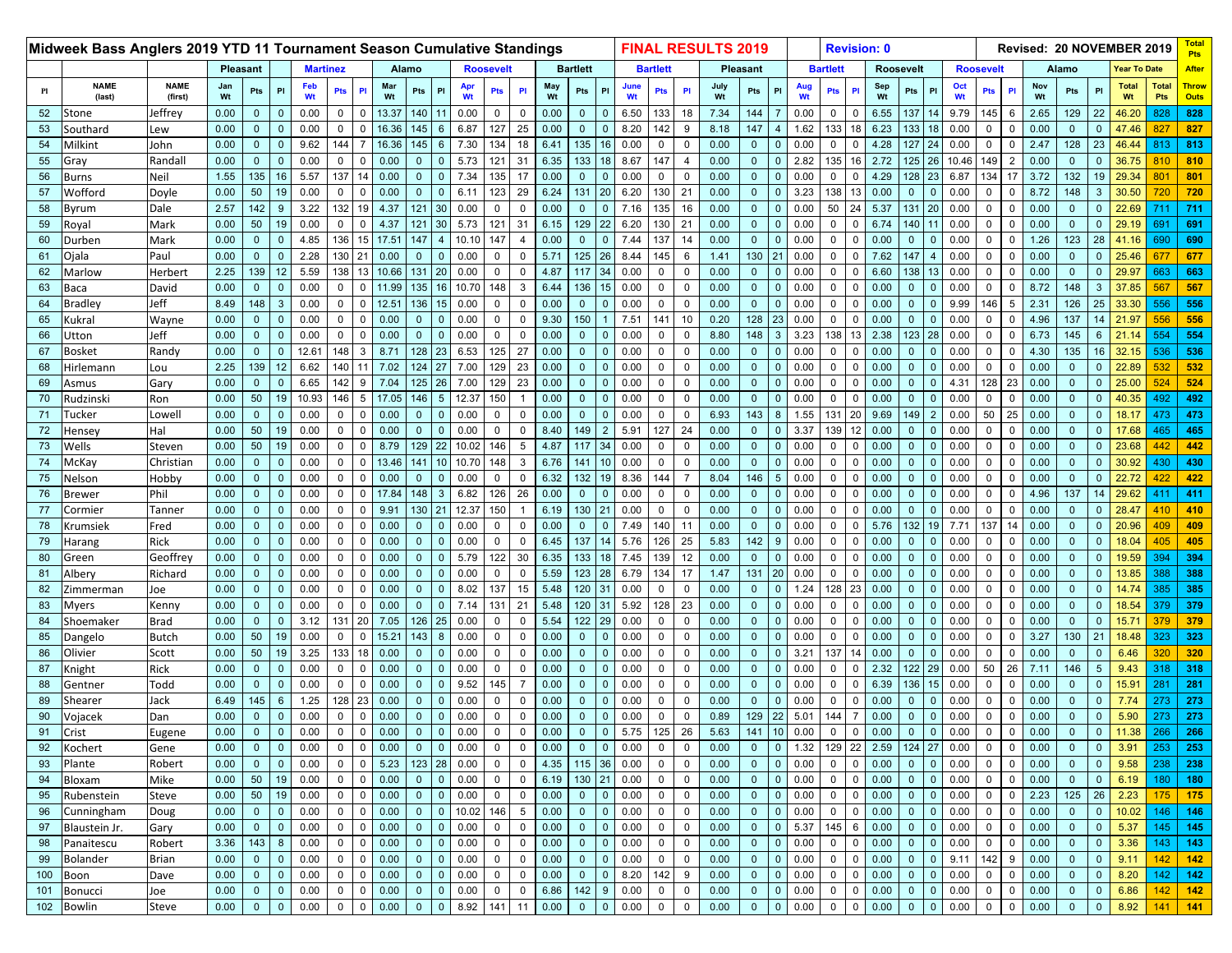|     | Midweek Bass Anglers 2019 YTD 11 Tournament Season Cumulative Standings |                        |           |                 |                 |           |                 |                |           |              |                |           |                  |             |           |                 |                |            |                 |                     | <b>FINAL RESULTS 2019</b> |                |                 |           |                 |             | <b>Revision: 0</b> |                  |                        |                  |                               |           |                |                | Revised: 20 NOVEMBER 2019 |              | <b>Pts</b>                  |
|-----|-------------------------------------------------------------------------|------------------------|-----------|-----------------|-----------------|-----------|-----------------|----------------|-----------|--------------|----------------|-----------|------------------|-------------|-----------|-----------------|----------------|------------|-----------------|---------------------|---------------------------|----------------|-----------------|-----------|-----------------|-------------|--------------------|------------------|------------------------|------------------|-------------------------------|-----------|----------------|----------------|---------------------------|--------------|-----------------------------|
|     |                                                                         |                        |           | <b>Pleasant</b> |                 |           | <b>Martinez</b> |                |           | Alamo        |                |           | <b>Roosevelt</b> |             |           | <b>Bartlett</b> |                |            | <b>Bartlett</b> |                     |                           | Pleasant       |                 |           | <b>Bartlett</b> |             |                    | <b>Roosevelt</b> |                        | <b>Roosevelt</b> |                               |           | Alamo          |                |                           | Year To Date | <b>After</b>                |
| PI  | <b>NAME</b><br>(last)                                                   | <b>NAME</b><br>(first) | Jan<br>Wt | Pts             | PI              | Feb<br>Wt | Pts             | <b>PI</b>      | Mar<br>Wt | Pts          | PI             | Apr<br>Wt | <b>Pts</b>       | PI          | May<br>Wt | Pts             | PI             | June<br>Wt | <b>Pts</b>      | PI                  | July<br>Wt                | Pts            | P               | Aug<br>Wt | Pts             |             | Sep<br>Wt          | Pts              | Oct<br>P<br>Wt         |                  | PI<br>Pts                     | Nov<br>Wt | Pts            | P              | <b>Total</b><br>Wt        | Total<br>Pts | <b>Throw</b><br><b>Outs</b> |
| 52  | Stone                                                                   | Jeffrey                | 0.00      | $\mathbf 0$     | $\Omega$        | 0.00      | 0               | $\Omega$       | 13.37     | 140          |                | 0.00      | 0                | $\mathbf 0$ | 0.00      | $\mathbf 0$     | $\mathbf{0}$   | 6.50       | 133             | 18                  | 7.34                      | 144            |                 | 0.00      | $\mathbf 0$     | $\Omega$    | 6.55               | 137              | 9.79<br>14             |                  | 145<br>6                      | 2.65      | 129            | 22             | 46.20                     | 828          | 828                         |
| 53  | Southard                                                                | Lew                    | 0.00      | $\mathbf{0}$    | $\Omega$        | 0.00      | 0               |                | 16.36     | 145          | 6              | 6.87      | 127              | 25          | 0.00      | $\Omega$        | $\Omega$       | 8.20       | 142             | 9                   | 8.18                      | 147            | 4               | 1.62      | 133             | 18          | 6.23               | 133              | 18<br>0.00             |                  | 0<br>$\Omega$                 | 0.00      | $\mathbf{0}$   | $\mathbf{0}$   | 47.46                     | 827          | 827                         |
| 54  | Milkint                                                                 | John                   | 0.00      | $\mathbf{0}$    | $\Omega$        | 9.62      | 144             | $\overline{7}$ | 16.36     | 145          | 6              | 7.30      | 134              | 18          | 6.41      | 135             | 16             | 0.00       | 0               | $\mathbf 0$         | 0.00                      | $\overline{0}$ | $\Omega$        | 0.00      | $\mathbf 0$     | $\Omega$    | 4.28               | 127              | 24<br>0.00             |                  | $\Omega$<br>$\Omega$          | 2.47      | 128            | 23             | 46.44                     | 813          | 813                         |
| 55  | Gray                                                                    | Randal                 | 0.00      | $\mathbf{0}$    | $\Omega$        | 0.00      | $\Omega$        |                | 0.00      | $\Omega$     |                | 5.73      | 121              | 31          | 6.35      | 133             | 18             | 8.67       | 147             | 4                   | 0.00                      | $\overline{0}$ |                 | 2.82      | 135             | 16          | 2.72               | 125              | 26<br>10.46            |                  | 149                           | 0.00      | $\mathbf{0}$   | $\Omega$       | 36.75                     | 810          | 810                         |
| 56  | Burns                                                                   | Neil                   | 1.55      | 135             | 16              | 5.57      | 137             | 14             | 0.00      | $\mathbf{0}$ | $\mathbf 0$    | 7.34      | 135              | 17          | 0.00      | $\mathbf 0$     | $\mathbf{0}$   | 0.00       | $\mathbf 0$     | $\Omega$            | 0.00                      | $\mathbf{0}$   | $\mathbf{0}$    | 0.00      | $\mathsf 0$     | $\mathbf 0$ | 4.29               | 128              | 23<br>6.87             |                  | 134<br>17                     | 3.72      | 132            | 19             | 29.34                     | 801          | 801                         |
| 57  | Wofford                                                                 | Doyle                  | 0.00      | 50              | 19              | 0.00      | $\Omega$        | $\Omega$       | 0.00      | $\Omega$     |                | 6.11      | 123              | 29          | 6.24      | 131             | 20             | 6.20       | 130             | 21                  | 0.00                      | $\overline{0}$ | $\sqrt{ }$      | 3.23      | 138             | 13          | 0.00               | $\Omega$         | 0.00<br>$\Omega$       |                  | $\Omega$                      | 8.72      | 148            | 3              | 30.50                     | 720          | 720                         |
| 58  | Byrum                                                                   | Dale                   | 2.57      | 142             |                 | 3.22      | 132             | 19             | 4.37      | 121          | 30             | 0.00      | $\Omega$         |             | 0.00      | $\Omega$        | $\Omega$       | 7.16       | 135             | 16                  | 0.00                      | $\mathbf{0}$   | $\Omega$        | 0.00      | 50              | 24          | 5.37               | 131              | 20<br>0.00             |                  | $\Omega$                      | 0.00      | $\mathbf{0}$   | $\Omega$       | 22.69                     | 711          | 711                         |
| 59  | Royal                                                                   | Mark                   | 0.00      | 50              | 19              | 0.00      | $\mathbf 0$     | $\mathbf 0$    | 4.37      | 121          | 30             | 5.73      | 121              | 31          | 6.15      | 129             | 22             | 6.20       | 130             | 21                  | 0.00                      | $\overline{0}$ | $\Omega$        | 0.00      | $\mathbf 0$     | $\mathsf 0$ | 6.74               | 140              | 0.00                   |                  | $\mathbf 0$<br>$\Omega$       | 0.00      | $\mathbf{0}$   | $\mathbf{0}$   | 29.19                     | 691          | 691                         |
| 60  | Durben                                                                  | Mark                   | 0.00      | $\mathbf{0}$    |                 | 4.85      | 136             | 15             | 17.51     | 147          |                | 10.10     | 147              |             | 0.00      | $\Omega$        | $\Omega$       | 7.44       | 137             | 14                  | 0.00                      | $\mathbf{0}$   |                 | 0.00      | $\mathbf 0$     | $\Omega$    | 0.00               | $\Omega$         | 0.00                   |                  | $\mathbf{0}$                  | 1.26      | 123            | 28             | 41.16                     | 690          | 690                         |
| 61  | Ojala                                                                   | Paul                   | 0.00      | $\mathbf{0}$    | $\Omega$        | 2.28      | 130             | 21             | 0.00      | $\mathbf{0}$ | $\Omega$       | 0.00      | $\mathbf 0$      | $\mathbf 0$ | 5.71      | 125             | 26             | 8.44       | 145             | 6                   | 1.41                      | 130            | 21              | 0.00      | $\mathbf 0$     | $\mathsf 0$ | 7.62               | 147              | 0.00<br>$\overline{4}$ |                  | $\Omega$<br>$\mathbf 0$       | 0.00      | $\mathbf{0}$   | $\overline{0}$ | 25.46                     | 677          | 677                         |
| 62  | Marlow                                                                  | Herbert                | 2.25      | 139             | 12 <sup>2</sup> | 5.59      | 138             | 13             | 10.66     | 131          | 20             | 0.00      | $\mathbf 0$      | $\Omega$    | 4.87      | 117             | 34             | 0.00       | 0               | $\Omega$            | 0.00                      | $\overline{0}$ | $\sqrt{ }$      | 0.00      | $\Omega$        | $\Omega$    | 6.60               | 138              | 0.00<br>13             |                  | $\Omega$<br>$\Omega$          | 0.00      | $\mathbf{0}$   | $\Omega$       | 29.97                     | 663          | 663                         |
| 63  | Заса                                                                    | David                  | 0.00      | $\mathbf{0}$    | $\Omega$        | 0.00      | $\Omega$        | $\Omega$       | 11.99     | 135          | 16             | 10.70     | 148              | 3           | 6.44      | 136             | 15             | 0.00       | 0               | $\Omega$            | 0.00                      | $\mathbf{0}$   | $\Omega$        | 0.00      | $\mathbf 0$     | $\mathbf 0$ | 0.00               | $\Omega$         | 0.00<br>$\Omega$       |                  | $\Omega$<br>$\mathbf{0}$      | 8.72      | 148            | 3              | 37.85                     | 567          | 567                         |
| 64  | Bradley                                                                 | Jeff                   | 8.49      | 148             | 3               | 0.00      | $\mathbf 0$     | $\Omega$       | 12.51     | 136          | 15             | 0.00      | $\mathbf 0$      | $\Omega$    | 0.00      | $\Omega$        | $\overline{0}$ | 0.00       | $\mathbf 0$     | $\Omega$            | 0.00                      | $\overline{0}$ | $\Omega$        | 0.00      | $\mathbf 0$     | $\mathsf 0$ | 0.00               | $\Omega$         | 9.99<br>$\mathbf{0}$   |                  | 146<br>5                      | 2.31      | 126            | 25             | 33.30                     | 556          | 556                         |
| 65  | <b>Kukral</b>                                                           | Wayne                  | 0.00      | $\mathbf{0}$    |                 | 0.00      | $\Omega$        |                | 0.00      |              |                | 0.00      | $\mathbf 0$      |             | 9.30      | 150             |                | 7.51       | 141             | 10                  | 0.20                      | 128            | 23              | 0.00      | $\Omega$        | $\Omega$    | 0.00               | $\Omega$         | 0.00                   |                  |                               | 4.96      | 137            | 14             | 21.97                     | 556          | 556                         |
| 66  | Jtton                                                                   | Jeff                   | 0.00      | $\mathbf{0}$    | $\mathbf{0}$    | 0.00      | $\mathbf 0$     | 0              | 0.00      | $\mathbf{0}$ | $\mathbf{0}$   | 0.00      | $\mathbf{0}$     | $\mathbf 0$ | 0.00      | $\mathbf 0$     | $\mathbf{0}$   | 0.00       | $\overline{0}$  | $\Omega$            | 8.80                      | 148            | $\mathbf{3}$    | 3.23      | 138             | 13          | 2.38               | 123              | 0.00<br>28             |                  | $\mathbf 0$<br>$\mathbf{0}$   | 6.73      | 145            | 6              | 21.14                     | 554          | 554                         |
| 67  | <b>Bosket</b>                                                           | Randy                  | 0.00      | $\mathbf{0}$    | $\Omega$        | 12.61     | 148             | 3              | 8.71      | 128          | 23             | 6.53      | 125              | 27          | 0.00      | $\Omega$        | $\mathbf{0}$   | 0.00       | 0               | $\Omega$            | 0.00                      | $\mathbf{0}$   | $\sqrt{ }$      | 0.00      | $\Omega$        | $\Omega$    | 0.00               | $\Omega$         | 0.00                   |                  | $\Omega$                      | 4.30      | 135            | 16             | 32.15                     | 536          | 536                         |
| 68  | <b>lirlemann</b>                                                        | Lou                    | 2.25      | 139             | 12              | 6.62      | 140             |                | 7.02      | 124          | 27             | 7.00      | 129              | 23          | 0.00      | $\Omega$        | $\Omega$       | 0.00       | $\Omega$        | $\Omega$            | 0.00                      | $\Omega$       | $\Omega$        | 0.00      | $\Omega$        | $\Omega$    | 0.00               | $\Omega$         | 0.00                   |                  | $\Omega$                      | 0.00      | $\mathbf{0}$   | $\Omega$       | 22.89                     |              | 532                         |
| 69  | Asmus                                                                   | Gary                   | 0.00      | $\mathbf{0}$    | $\Omega$        | 6.65      | 142             | 9              | 7.04      | 125          | 26             | 7.00      | 129              | 23          | 0.00      | $\mathbf 0$     | $\mathbf{0}$   | 0.00       | 0               | $\Omega$            | 0.00                      | $\overline{0}$ | $\Omega$        | 0.00      | $\mathbf 0$     | $\mathsf 0$ | 0.00               | $\mathbf{0}$     | $\mathbf{0}$<br>4.31   |                  | 128<br>23                     | 0.00      | $\overline{0}$ | $\mathbf{0}$   | 25.00                     | 524          | 524                         |
| 70  | ≀udzinski                                                               | Ron                    | 0.00      | 50              | 19              | 10.93     | 146             | 5              | 17.05     | 146          | 5              | 12.37     | 150              |             | 0.00      | $\Omega$        | $\Omega$       | 0.00       | $\mathbf 0$     | $\Omega$            | 0.00                      | $\mathbf{0}$   |                 | 0.00      | $\mathbf 0$     | $\mathbf 0$ | 0.00               | $\Omega$         | 0.00                   |                  |                               | 0.00      | $\mathbf{0}$   | $\Omega$       | 40.35                     | 492          | 492                         |
| 71  | Tucker                                                                  | Lowell                 | 0.00      | $\mathbf{0}$    | $\Omega$        | 0.00      | 0               | $\Omega$       | 0.00      | $\Omega$     | $\Omega$       | 0.00      | $\mathbf 0$      | $\Omega$    | 0.00      | $\mathbf 0$     | $\overline{0}$ | 0.00       | 0               | $\Omega$            | 6.93                      | 143            | 8               | 1.55      | 131             | 20          | 9.69               | 149              | 2<br>0.00              |                  | 50<br>25                      | 0.00      | $\mathbf{0}$   | $\overline{0}$ | 18.17                     | 473          | 473                         |
| 72  | lensey                                                                  | Hal                    | 0.00      | 50              | 19              | 0.00      | $\mathbf 0$     | $\Omega$       | 0.00      | $\Omega$     |                | 0.00      | $\mathbf 0$      | $\Omega$    | 8.40      | 149             | $2^{\circ}$    | 5.91       | 127             | 24                  | 0.00                      | $\overline{0}$ | $\sqrt{ }$      | 3.37      | 139             | 12          | 0.00               | $\mathbf{0}$     | 0.00<br>$\Omega$       |                  | $\Omega$<br>$\Omega$          | 0.00      | $\mathbf{0}$   | $\overline{0}$ | 17.68                     | 465          | 465                         |
| 73  | Wells                                                                   | Steven                 | 0.00      | 50              | 19              | 0.00      | $\Omega$        |                | 8.79      | 129          | 22             | 10.02     | 146              | 5           | 4.87      | 117             | 34             | 0.00       | $\Omega$        | $\Omega$            | 0.00                      | $\overline{0}$ | $\Omega$        | 0.00      | $\mathbf 0$     | $\Omega$    | 0.00               | $\Omega$         | 0.00<br>$\Omega$       |                  | $\Omega$<br>$\mathbf{0}$      | 0.00      | $\mathbf{0}$   | $\mathbf{0}$   | 23.68                     | 442          | 442                         |
| 74  | McKay                                                                   | Christian              | 0.00      | $\mathbf{0}$    | $\Omega$        | 0.00      | $\mathbf 0$     | $\Omega$       | 13.46     | 141          |                | 10.70     | 148              | 3           | 6.76      | 141             | 10             | 0.00       | $\mathbf 0$     | $\Omega$            | 0.00                      | $\overline{0}$ | $\Omega$        | 0.00      | $\mathbf 0$     | $\mathbf 0$ | 0.00               | $\Omega$         | 0.00<br>$\mathbf{0}$   |                  | $\Omega$                      | 0.00      | $\overline{0}$ | $\Omega$       | 30.92                     | 430          | 430                         |
| 75  | Nelson                                                                  | Hobby                  | 0.00      | $\mathbf{0}$    |                 | 0.00      | $\Omega$        |                | 0.00      |              |                | 0.00      | $\mathbf 0$      |             | 6.32      | 132             | 19             | 8.36       | 144             |                     | 8.04                      | 146            | 5               | 0.00      | $\Omega$        | $\Omega$    | 0.00               | $\Omega$         | 0.00                   |                  |                               | 0.00      | $\Omega$       | $\Omega$       | 22.72                     | 422          | 422                         |
| 76  | Brewer                                                                  | Phil                   | 0.00      | $\mathbf{0}$    | $\mathbf{0}$    | 0.00      | 0               | $\mathbf 0$    | 17.84     | 148          | $\mathbf{3}$   | 6.82      | 126              | 26          | 0.00      | $\mathbf{0}$    | $\mathbf{0}$   | 0.00       | 0               | $\Omega$            | 0.00                      | $\overline{0}$ | $\Omega$        | 0.00      | $\mathsf 0$     | $\mathbf 0$ | 0.00               | $\mathbf 0$      | 0.00<br>$\mathbf{0}$   |                  | $\mathbf 0$<br>$\mathbf 0$    | 4.96      | 137            | 14             | 29.62                     | 411          | 411                         |
| 77  | Cormier                                                                 | Tanner                 | 0.00      | $\mathbf{0}$    | $\Omega$        | 0.00      | $\Omega$        |                | 9.91      | 130          |                | 12.37     | 150              |             | 6.19      | 130             | 21             | 0.00       | $\Omega$        | $\Omega$            | 0.00                      | $\overline{0}$ | $\sqrt{ }$      | 0.00      | $\mathbf 0$     | $\mathbf 0$ | 0.00               | $\Omega$         | 0.00<br>$\Omega$       |                  | $\Omega$                      | 0.00      | $\mathbf{0}$   | $\Omega$       | 28.47                     | 410          | 410                         |
| 78  | (rumsiek                                                                | Fred                   | 0.00      | $\Omega$        |                 | 0.00      | $\Omega$        |                | 0.00      | $\Omega$     |                | 0.00      | $\Omega$         |             | 0.00      | $\Omega$        | $\Omega$       | 7.49       | 140             | 11                  | 0.00                      | $\mathbf{0}$   | $\sqrt{ }$      | 0.00      | $\Omega$        | $\Omega$    | 5.76               | 132              | 19<br>7.71             |                  | 137<br>14                     | 0.00      | $\mathbf{0}$   | $\Omega$       | 20.96                     | 409          | 409                         |
| 79  | Harang                                                                  | Rick                   | 0.00      | $\mathbf{0}$    | $\Omega$        | 0.00      | 0               | $\Omega$       | 0.00      | $\mathbf{0}$ | $\Omega$       | 0.00      | $\mathbf 0$      | $\Omega$    | 6.45      | 137             | 14             | 5.76       | 126             | 25                  | 5.83                      | 142            | 9               | 0.00      | $\mathbf 0$     | $\mathsf 0$ | 0.00               | $\mathbf{0}$     | $\overline{0}$<br>0.00 |                  | $\mathbf 0$<br>$\Omega$       | 0.00      | $\overline{0}$ | $\mathbf{0}$   | 18.04                     | 405          | 405                         |
| 80  | Green                                                                   | Geoffrey               | 0.00      | $\mathbf{0}$    |                 | 0.00      | $\Omega$        |                | 0.00      |              |                | 5.79      | 122              | 30          | 6.35      | 133             | 18             | 7.45       | 139             | 12                  | 0.00                      | $\mathbf{0}$   |                 | 0.00      | $\mathbf 0$     | $\Omega$    | 0.00               | $\Omega$         | 0.00                   |                  | $\Omega$                      | 0.00      | $\Omega$       | $\Omega$       | 19.59                     | 394          | 394                         |
| 81  | Albery                                                                  | Richard                | 0.00      | $\mathbf{0}$    | $\Omega$        | 0.00      | $\mathbf 0$     | $\Omega$       | 0.00      | $\Omega$     | $\mathbf{0}$   | 0.00      | $\mathbf 0$      | $\Omega$    | 5.59      | 123             | 28             | 6.79       | 134             | 17                  | 1.47                      | 131            | 20              | 0.00      | $\mathbf 0$     | $\Omega$    | 0.00               | $\mathbf{0}$     | 0.00<br>$\Omega$       |                  | $\Omega$<br>$\mathbf 0$       | 0.00      | $\mathbf{0}$   | $\overline{0}$ | 13.85                     | 388          | 388                         |
| 82  | Zimmerman                                                               | Joe                    | 0.00      | $\mathbf{0}$    | $\Omega$        | 0.00      | $\mathbf 0$     | $\Omega$       | 0.00      | $\mathbf{0}$ | $\Omega$       | 8.02      | 137              | 15          | 5.48      | 120             | 31             | 0.00       | 0               | $\Omega$            | 0.00                      | $\overline{0}$ | $\sqrt{ }$      | 1.24      | 128             | 23          | 0.00               | $\mathbf{0}$     | 0.00<br>$\Omega$       |                  | $\Omega$<br>$\Omega$          | 0.00      | $\mathbf{0}$   | $\overline{0}$ | 14.74                     | 385          | 385                         |
| 83  | Myers                                                                   | Kenny                  | 0.00      | $\mathbf{0}$    | $\Omega$        | 0.00      | $\Omega$        |                | 0.00      | $\Omega$     | $\Omega$       | 7.14      | 131              | 21          | 5.48      | 120             | 31             | 5.92       | 128             | 23                  | 0.00                      | $\mathbf{0}$   | $\Omega$        | 0.00      | $\mathbf 0$     | $\Omega$    | 0.00               | $\Omega$         | 0.00<br>$\Omega$       |                  | $\Omega$<br>$\mathbf{0}$      | 0.00      | $\mathbf{0}$   | $\mathbf{0}$   | 18.54                     | 379          | 379                         |
| 84  | Shoemaker                                                               | <b>Brad</b>            | 0.00      | $\mathbf{0}$    | $\Omega$        | 3.12      | 131             | 20             | 7.05      | 126          | 25             | 0.00      | $\mathbf 0$      | $\Omega$    | 5.54      | 122             | 29             | 0.00       | 0               | $\Omega$            | 0.00                      | $\overline{0}$ | $\Omega$        | 0.00      | $\mathbf 0$     | $\Omega$    | 0.00               | $\Omega$         | 0.00<br>$\mathbf{0}$   |                  | $\Omega$                      | 0.00      | $\overline{0}$ | $\overline{0}$ | 15.71                     | 379          | 379                         |
| 85  | Dangelo                                                                 | <b>Butch</b>           | 0.00      | 50              | 19              | 0.00      | $\mathbf 0$     |                | 15.21     | 143          |                | 0.00      | $\mathbf 0$      |             | 0.00      | $\Omega$        | $\Omega$       | 0.00       | $\mathbf 0$     | $\Omega$            | 0.00                      | $\overline{0}$ |                 | 0.00      | $\Omega$        | $\Omega$    | 0.00               | $\Omega$         | 0.00                   |                  |                               | 3.27      | 130            | 2 <sup>1</sup> | 18.48                     | 323          | 323                         |
| 86  | Olivier                                                                 | Scott                  | 0.00      | 50              | 19              | 3.25      | 133             | 18             | 0.00      | $\mathbf{0}$ | $\Omega$       | 0.00      | $\mathbf{0}$     | $\Omega$    | 0.00      | $\mathbf 0$     | $\mathbf{0}$   | 0.00       | $\mathbf 0$     | $\Omega$            | 0.00                      | $\mathbf{0}$   | $\Omega$        | 3.21      | 137             | 14          | 0.00               | $\mathbf 0$      | 0.00<br>$\mathbf{0}$   |                  | $\mathbf 0$<br>$\mathbf{0}$   | 0.00      | $\mathbf{0}$   | $\mathbf{0}$   | 6.46                      | 320          | 320                         |
| 87  | <b>Knight</b>                                                           | Rick                   | 0.00      | $\mathbf{0}$    | $\Omega$        | 0.00      | $\Omega$        |                | 0.00      | $\Omega$     |                | 0.00      | $\Omega$         | $\Omega$    | 0.00      | $\Omega$        | $\mathbf{0}$   | 0.00       | $\mathbf 0$     | $\Omega$            | 0.00                      | $\overline{0}$ | $\sqrt{ }$      | 0.00      | $\mathbf 0$     | $\Omega$    | 2.32               | 122              | 29<br>0.00             |                  | 50<br>26                      | 7.11      | 146            | 5              | 9.43                      | 318          | 318                         |
| 88  | Gentner                                                                 | Todd                   | 0.00      | $\mathbf{0}$    | $\Omega$        | 0.00      | $\mathbf 0$     |                | 0.00      | $\Omega$     | $\Omega$       | 9.52      | 145              |             | 0.00      | $\mathbf{0}$    | $\Omega$       | 0.00       | $\Omega$        | $\Omega$            | 0.00                      | $\mathbf{0}$   | $\Omega$        | 0.00      | $\mathbf 0$     | $\Omega$    | 6.39               | 136              | 15<br>0.00             |                  | $\Omega$                      | 0.00      | $\mathbf{0}$   | $\Omega$       | 15.9 <sup>°</sup>         | 281          | 281                         |
| 89  | Shearer                                                                 | Jack                   | 6.49      | 145             | 6               | 1.25      | 128             | 23             | 0.00      | $\mathbf 0$  | $\Omega$       | 0.00      | $\mathbf 0$      | $\Omega$    | 0.00      | $\mathbf 0$     | $\mathbf{0}$   | 0.00       | 0               | $\Omega$            | 0.00                      | $\overline{0}$ | $\Omega$        | 0.00      | $\mathbf 0$     | $\Omega$    | 0.00               | $\mathbf{0}$     | $\mathbf{0}$<br>0.00   |                  | $\mathbf 0$<br>$\mathbf 0$    | 0.00      | $\overline{0}$ | $\overline{0}$ | 7.74                      | 273          | 273                         |
| 90  | Vojacek                                                                 | Dan                    | 0.00      | $\mathbf 0$     | $\Omega$        | 0.00      | 0               |                | 0.00      | $\mathbf 0$  | $\Omega$       | 0.00      | $\mathbf 0$      | $\mathbf 0$ | 0.00      | $\mathbf 0$     | $\mathbf{0}$   | 0.00       | 0               | $\Omega$            | 0.89                      | 129            | 22              | 5.01      | 144             |             | 0.00               | $\mathbf 0$      | 0.00<br>$\mathbf{0}$   |                  | 0<br>0                        | 0.00      | $\mathbf 0$    | $\mathbf 0$    | 5.90                      | 273          | 273                         |
| 91  | Crist                                                                   | Eugene                 | 0.00      | $\mathbf{0}$    | $\mathbf{0}$    | 0.00      | $\mathbf 0$     | $\mathbf 0$    | 0.00      | $\mathbf{0}$ | $\overline{0}$ | 0.00      | $\mathbf{0}$     | $\mathbf 0$ | 0.00      | $\mathbf{0}$    | $\mathbf{0}$   | 5.75       | 125             | 26                  | 5.63                      | 141            | 10 <sup>1</sup> | 0.00      | $\mathbf 0$     | $\mathbf 0$ | 0.00               | $\mathbf{0}$     | $\overline{0}$<br>0.00 |                  | $\mathbf{0}$<br>$\mathbf{0}$  | 0.00      | $\mathbf{0}$   | $\mathbf{0}$   | 11.38                     | 266          | 266                         |
| 92  | Kochert                                                                 | Gene                   | 0.00      | $\mathbf 0$     | $\mathbf{0}$    | 0.00      | $\mathbf 0$     | $\mathbf 0$    | 0.00      | $\mathbf 0$  | $\mathbf{0}$   | 0.00      | $\mathbf 0$      | $\mathbf 0$ | 0.00      | $\mathbf 0$     | $\mathbf{0}$   | 0.00       | $\mathbf 0$     | $\mathbf 0$         | 0.00                      | $\mathbf{0}$   | $\overline{0}$  | 1.32      | 129             | 22          | 2.59               | 124              | 27<br>0.00             |                  | 0<br>0                        | 0.00      | $\mathbf 0$    | $\mathbf{0}$   | 3.91                      | 253          | 253                         |
| 93  | Plante                                                                  | Robert                 | 0.00      | $\mathbf{0}$    | $\mathbf{0}$    | 0.00      | 0               | $^{\circ}$     | 5.23      | 123          | 28             | 0.00      | $\mathbf 0$      | 0           | 4.35      | 115             | 36             | 0.00       | $\mathbf 0$     | $\mathbf 0$         | 0.00                      | $\overline{0}$ | $\mathbf{0}$    | 0.00      | $\mathbf 0$     | $\mathbf 0$ | 0.00               | $\mathbf 0$      | 0.00<br>$\mathbf{0}$   |                  | 0<br>$\mathbf 0$              | 0.00      | $\mathbf{0}$   | $\mathbf{0}$   | 9.58                      | 238          | 238                         |
| 94  | Bloxam                                                                  | Mike                   | 0.00      | 50              | 19              | 0.00      | $\mathbf 0$     | $\mathbf 0$    | 0.00      | $\mathbf 0$  | $\mathbf 0$    | $0.00\,$  | $\mathbf 0$      | $\mathbf 0$ | 6.19      | 130 21          |                | 0.00       | $\mathsf 0$     | $\mathsf{O}\xspace$ | 0.00                      | $\overline{0}$ | $\overline{0}$  | 0.00      | $\overline{0}$  | $\mathbf 0$ | 0.00               | $\mathbf{0}$     | 0.00<br>$\overline{0}$ |                  | $\mathbf{0}$<br>$\mathbf 0$   | 0.00      | $\mathbf{0}$   | $\overline{0}$ | 6.19                      | 180          | 180                         |
| 95  | Rubenstein                                                              | Steve                  | 0.00      | 50              | 19              | 0.00      | 0               | $\Omega$       | 0.00      | $\mathbf 0$  | $\Omega$       | 0.00      | $\mathsf{O}$     | $\Omega$    | 0.00      | $\mathbf 0$     | $\mathbf{0}$   | 0.00       | $\mathbf 0$     | $\mathsf 0$         | 0.00                      | $\overline{0}$ | $\Omega$        | 0.00      | $\mathbf 0$     | $\mathsf 0$ | 0.00               | $\mathbf 0$      | 0.00<br>$\mathbf{0}$   |                  | $\mathbf 0$<br>$\mathbf 0$    | 2.23      | 125            | 26             | 2.23                      | 175          | 175                         |
| 96  | Cunningham                                                              | Doug                   | 0.00      | $\mathbf{0}$    | $\mathbf{0}$    | 0.00      | 0               | $\mathbf 0$    | 0.00      | $\mathbf{0}$ | $\mathbf 0$    | 10.02     | 146              | 5           | 0.00      | $\mathbf{0}$    | $\mathbf{0}$   | 0.00       | $\mathbf 0$     | $\mathbf 0$         | 0.00                      | $\overline{0}$ | $\overline{0}$  | 0.00      | $\overline{0}$  | $\mathbf 0$ | 0.00               | $\mathbf{0}$     | 0.00<br>$\overline{0}$ |                  | $\mathbf{0}$<br>$\mathbf 0$   | 0.00      | $\mathbf{0}$   | $\mathbf{0}$   | 10.02                     | 146          | 146                         |
| 97  | Blaustein Jr.                                                           | Gary                   | 0.00      | $\mathbf{0}$    | $\mathbf{0}$    | 0.00      | $\mathbf 0$     | $\mathbf{0}$   | 0.00      | $\mathbf 0$  | $\Omega$       | 0.00      | $\mathbf 0$      | 0           | 0.00      | $\mathbf 0$     | $\mathbf{0}$   | 0.00       | $\mathbf 0$     | $\mathbf 0$         | 0.00                      | $\overline{0}$ | $\overline{0}$  | 5.37      | 145             | 6           | 0.00               | $\mathbf{0}$     | 0.00<br>$\overline{0}$ |                  | $\mathbf 0$<br>$\mathbf 0$    | 0.00      | $\mathbf{0}$   | $\mathbf{0}$   | 5.37                      | 145          | 145                         |
| 98  | Panaitescu                                                              | Robert                 | 3.36      | 143             | 8               | 0.00      | 0               | $\Omega$       | 0.00      | $\mathbf 0$  | $\mathbf 0$    | 0.00      | $\mathbf 0$      | $\Omega$    | 0.00      | $\mathbf 0$     | $\mathbf{0}$   | 0.00       | 0               | 0                   | 0.00                      | $\mathbf{0}$   | $\mathbf{0}$    | 0.00      | $\overline{0}$  | $\mathbf 0$ | 0.00               | $\mathbf{0}$     | 0.00<br>$\mathbf{0}$   |                  | $\mathbf{0}$<br>$\mathbf{0}$  | 0.00      | $\mathbf{0}$   | $\mathbf{0}$   | 3.36                      | 143          | 143                         |
| 99  | <b>Bolander</b>                                                         | Brian                  | 0.00      | $\mathbf{0}$    | $\mathbf{0}$    | 0.00      | $\mathbf 0$     | $\mathbf{0}$   | 0.00      | $\mathbf 0$  | $\mathbf 0$    | 0.00      | $\mathbf 0$      | 0           | 0.00      | $\mathbf{0}$    | $\mathbf{0}$   | 0.00       | $\mathbf 0$     | $\mathbf 0$         | 0.00                      | $\mathbf{0}$   | $\mathbf{0}$    | 0.00      | $\overline{0}$  | $\mathbf 0$ | 0.00               | $\mathbf{0}$     | $\overline{0}$<br>9.11 |                  | 142<br>9                      | 0.00      | $\mathbf{0}$   | $\mathbf{0}$   | 9.11                      | 142          | 142                         |
| 100 | Boon                                                                    | Dave                   | 0.00      | $\mathbf{0}$    | $\Omega$        | 0.00      | 0               | $^{\circ}$     | 0.00      | $\mathbf 0$  | $\mathbf{0}$   | 0.00      | $\mathbf 0$      | $\Omega$    | 0.00      | $\mathbf 0$     | $\mathbf{0}$   | 8.20       | 142             | 9                   | 0.00                      | $\overline{0}$ | $\Omega$        | 0.00      | $\overline{0}$  | 0           | 0.00               | $\mathbf{0}$     | 0.00<br>$\mathbf{0}$   |                  | 0<br>0                        | 0.00      | $\mathbf{0}$   | $\overline{0}$ | 8.20                      | 142          | 142                         |
| 101 | Bonucci                                                                 | Joe                    | 0.00      | $\mathbf{0}$    | $\mathbf{0}$    | 0.00      | $\mathsf 0$     | $\mathbf 0$    | 0.00      | $\mathbf{0}$ | $\mathbf{0}$   | 0.00      | $\overline{0}$   | $\mathbf 0$ | 6.86      | $142 \mid 9$    |                | 0.00       | $\mathbf 0$     | $\mathbf 0$         | 0.00                      | $\overline{0}$ | $\overline{0}$  | 0.00      | $\overline{0}$  | $\mathbf 0$ | 0.00               | $\mathbf{0}$     | 0.00<br>$\overline{0}$ |                  | $\mathbf 0$<br>$\overline{0}$ | 0.00      | $\mathbf{0}$   | $\mathbf{0}$   | 6.86                      | 142          | 142                         |
| 102 | <b>Bowlin</b>                                                           |                        | 0.00      | $\mathbf{0}$    | $\mathbf{0}$    | 0.00      | $\mathbf 0$     | $\mathbf 0$    | 0.00      | $\mathbf 0$  | $\mathbf 0$    | 8.92      | 141              | 11          | 0.00      | $\mathbf{0}$    | $\mathbf 0$    | 0.00       | $\mathbf 0$     | $\mathbf 0$         | 0.00                      | $\mathbf{0}$   | $\overline{0}$  | 0.00      | $\mathsf 0$     | $\mathsf 0$ | 0.00               | $\mathbf{0}$     | 0.00<br>$\overline{0}$ |                  | $\mathbf 0$<br>$\mathbf 0$    | 0.00      | $\mathbf{0}$   | $\mathbf{0}$   | 8.92                      | 141          | 141                         |
|     |                                                                         | Steve                  |           |                 |                 |           |                 |                |           |              |                |           |                  |             |           |                 |                |            |                 |                     |                           |                |                 |           |                 |             |                    |                  |                        |                  |                               |           |                |                |                           |              |                             |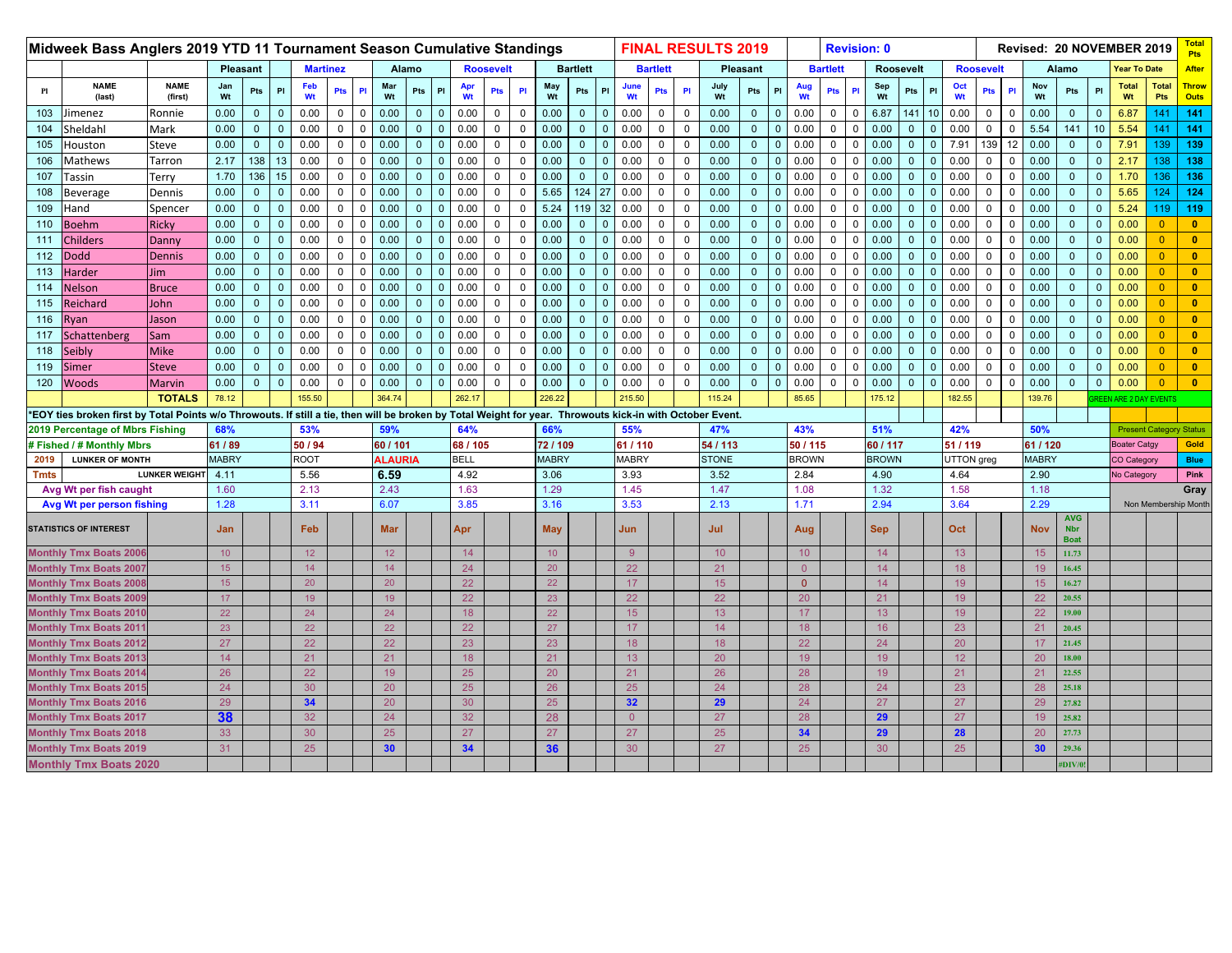|             | Midweek Bass Anglers 2019 YTD 11 Tournament Season Cumulative Standings                                                                                   |                        |              |              |              |                 |              |             |                 |              |                |              |                  |             |                 |                 |              |                |                 |                | <b>FINAL RESULTS 2019</b> |                 |              |                 |                 |             | <b>Revision: 0</b> |                |                 |                  |             |              |                  |                           |                 | Revised: 20 NOVEMBER 2019      |                     | <b>Total</b><br><b>Pts</b>  |
|-------------|-----------------------------------------------------------------------------------------------------------------------------------------------------------|------------------------|--------------|--------------|--------------|-----------------|--------------|-------------|-----------------|--------------|----------------|--------------|------------------|-------------|-----------------|-----------------|--------------|----------------|-----------------|----------------|---------------------------|-----------------|--------------|-----------------|-----------------|-------------|--------------------|----------------|-----------------|------------------|-------------|--------------|------------------|---------------------------|-----------------|--------------------------------|---------------------|-----------------------------|
|             |                                                                                                                                                           |                        |              | Pleasant     |              | <b>Martinez</b> |              |             | Alamo           |              |                |              | <b>Roosevelt</b> |             |                 | <b>Bartlett</b> |              |                | <b>Bartlett</b> |                |                           | <b>Pleasant</b> |              |                 | <b>Bartlett</b> |             |                    | Roosevelt      |                 | <b>Roosevelt</b> |             |              |                  | Alamo                     |                 | <b>Year To Date</b>            |                     | After                       |
| P1          | <b>NAME</b><br>(last)                                                                                                                                     | <b>NAME</b><br>(first) | Jan<br>Wt    | Pts          | PI           | Feb<br>Wt       | Pts          | PI          | Mar<br>Wt       | Pts          | P              | Apr<br>Wt    | Pts              | P           | May<br>Wt       | Pts             | PI           | June<br>Wt     | Pts             | <b>PI</b>      | July<br>Wt                | Pts             | PI           | Aug<br>Wt       | Pts             | PI          | Sep<br>Wt          | Pts            | P               | Oct<br>Wt        | Pts         | PI           | Nov<br>Wt        | Pts                       | PI              | <b>Total</b><br>Wt             | <b>Total</b><br>Pts | <b>Throw</b><br><b>Outs</b> |
| 103         | imenez                                                                                                                                                    | Ronnie                 | 0.00         | $\mathbf 0$  | $\mathbf 0$  | 0.00            | $\mathbf 0$  | $\mathbf 0$ | 0.00            | $\mathbf{0}$ | $\mathbf 0$    | 0.00         | $\mathbf 0$      | $\mathbf 0$ | 0.00            | $\mathbf 0$     | $\mathbf{0}$ | 0.00           | 0               | $\overline{0}$ | 0.00                      | $\mathbf{0}$    | $\mathbf{0}$ | 0.00            | $\mathbf 0$     |             | 6.87               | 141            | 10 <sup>°</sup> | 0.00             | $\mathbf 0$ | 0            | 0.00             | $\mathbf 0$               | $\Omega$        | 6.87                           | 141                 | 141                         |
| 104         | Sheldahl                                                                                                                                                  | Mark                   | 0.00         | $\mathbf{0}$ | $\mathbf{0}$ | 0.00            | 0            | $\Omega$    | 0.00            | $\mathbf{0}$ | $\overline{0}$ | 0.00         | $\mathbf{0}$     | $\mathbf 0$ | 0.00            | $\mathbf{0}$    | $\Omega$     | 0.00           | $\mathbf 0$     | $\mathbf 0$    | 0.00                      | $\mathbf{0}$    | $\mathbf{0}$ | 0.00            | $\mathbf{0}$    | n           | 0.00               | $\mathbf{0}$   | $\Omega$        | 0.00             | 0           | $\Omega$     | 5.54             | 141                       | 10 <sup>°</sup> | 5.54                           | 141                 | 141                         |
| 105         | Houston                                                                                                                                                   | Steve                  | 0.00         | $\mathbf{0}$ | $\mathbf 0$  | 0.00            | $\mathbf 0$  | $\mathsf 0$ | 0.00            | $\mathbf{0}$ | $\mathbf 0$    | 0.00         | $\mathbf 0$      | $\mathbf 0$ | 0.00            | $\mathbf{0}$    | $\mathbf{0}$ | 0.00           | $\mathsf{O}$    | $\mathbf 0$    | 0.00                      | $\mathbf{0}$    | $\mathbf{0}$ | 0.00            | $\mathbf 0$     | $\mathbf 0$ | 0.00               | $\mathbf{0}$   | $\mathbf{0}$    | 7.91             | 139         | 12           | 0.00             | $\mathbf{0}$              | $\mathbf{0}$    | 7.91                           | 139                 | 139                         |
| 106         | Mathews                                                                                                                                                   | Tarron                 | 2.17         | 138          | 13           | 0.00            | $\Omega$     | $\Omega$    | 0.00            | $\Omega$     | $\mathbf{0}$   | 0.00         | $\mathbf 0$      | $\mathbf 0$ | 0.00            | $\mathbf{0}$    | $\mathbf{0}$ | 0.00           | $\mathbf 0$     | $\overline{0}$ | 0.00                      | $\mathbf{0}$    | $\mathbf{0}$ | 0.00            | $\mathbf 0$     | $\Omega$    | 0.00               | $\mathbf{0}$   | $\Omega$        | 0.00             | $\mathbf 0$ | $\Omega$     | 0.00             | $\mathbf{0}$              | $\Omega$        | 2.17                           | 138                 | 138                         |
| 107         | Tassin                                                                                                                                                    | Terry                  | 1.70         | 136          | 15           | 0.00            | $\mathbf{0}$ | $\Omega$    | 0.00            | $\mathbf{0}$ | $\mathbf{0}$   | 0.00         | $\mathsf 0$      | $\mathsf 0$ | 0.00            | $\mathbf{0}$    | $\mathbf{0}$ | 0.00           | 0               | $\mathbf 0$    | 0.00                      | $\mathbf{0}$    | $\mathbf{0}$ | 0.00            | $\mathbf 0$     | $\Omega$    | 0.00               | $\mathbf 0$    | $\Omega$        | 0.00             | $\mathbf 0$ | $\mathbf 0$  | 0.00             | $\mathbf{0}$              | $\Omega$        | 1.70                           | 136                 | 136                         |
| 108         | Beverage                                                                                                                                                  | Dennis                 | 0.00         | $\Omega$     | $\mathbf{0}$ | 0.00            | $\Omega$     | $\Omega$    | 0.00            | $\Omega$     | $\overline{0}$ | 0.00         | $\mathbf 0$      | $\mathbf 0$ | 5.65            | 124             | 27           | 0.00           | $\mathbf 0$     | $\Omega$       | 0.00                      | $\overline{0}$  | $\mathbf{0}$ | 0.00            | $\mathbf{0}$    |             | 0.00               | $\Omega$       |                 | 0.00             | $\Omega$    | $\mathbf 0$  | 0.00             | $\mathbf{0}$              |                 | 5.65                           | 124                 | 124                         |
| 109         | Hand                                                                                                                                                      | Spencer                | 0.00         | $\mathbf{0}$ | $\mathbf 0$  | 0.00            | $\mathbf{0}$ | $\mathbf 0$ | 0.00            | $\mathbf{0}$ | $\mathbf{0}$   | 0.00         | $\mathbf 0$      | $\mathbf 0$ | 5.24            | 119             | 32           | 0.00           | 0               | $\mathbf 0$    | 0.00                      | $\overline{0}$  | $\mathbf{0}$ | 0.00            | $\mathbf{0}$    | $\Omega$    | 0.00               | $\Omega$       | $\Omega$        | 0.00             | $\mathbf 0$ | $\mathbf 0$  | 0.00             | $\mathbf{0}$              | $\Omega$        | 5.24                           | 119 l               | 119                         |
| 110         | Boehm                                                                                                                                                     | <b>Ricky</b>           | 0.00         | $\mathbf{0}$ | $\mathbf 0$  | 0.00            | $\mathbf 0$  | $\mathsf 0$ | 0.00            | $\mathbf{0}$ | $\mathbf{0}$   | 0.00         | $\mathsf{O}$     | $\mathbf 0$ | 0.00            | $\mathbf{0}$    | $\mathbf{0}$ | 0.00           | $\mathbf 0$     | $\mathbf 0$    | 0.00                      | $\mathbf{0}$    | $\mathbf{0}$ | 0.00            | 0               | $\Omega$    | 0.00               | $\mathbf{0}$   | $\Omega$        | 0.00             | $\mathbf 0$ | $\mathbf 0$  | 0.00             | $\mathbf{0}$              | $\mathbf{0}$    | 0.00                           | $\Omega$            | $\bullet$                   |
| 111         | <b>Childers</b>                                                                                                                                           | <b>Danny</b>           | 0.00         | $\mathbf{0}$ | $\mathbf{0}$ | 0.00            | $\Omega$     | $\Omega$    | 0.00            | $\Omega$     | $\mathbf{0}$   | 0.00         | $\mathbf 0$      | $\mathbf 0$ | 0.00            | $\mathbf{0}$    | $\Omega$     | 0.00           | $\mathbf 0$     | $\overline{0}$ | 0.00                      | $\mathbf{0}$    | $\mathbf{0}$ | 0.00            | $\mathbf 0$     | $\Omega$    | 0.00               | $\mathbf{0}$   | $\Omega$        | 0.00             | $\Omega$    | $\Omega$     | 0.00             | $\mathbf{0}$              | $\Omega$        | 0.00                           | $\Omega$            | $\mathbf{0}$                |
| 112         | <b>Dodd</b>                                                                                                                                               | <b>Dennis</b>          | 0.00         | $\mathbf{0}$ | $\mathbf{0}$ | 0.00            | $\mathbf{0}$ | $\Omega$    | 0.00            | $\mathbf{0}$ | $\mathbf{0}$   | 0.00         | $\mathsf 0$      | $\mathsf 0$ | 0.00            | $\mathbf{0}$    | $\Omega$     | 0.00           | $\mathbf 0$     | $\overline{0}$ | 0.00                      | $\mathbf{0}$    | $\mathbf{0}$ | 0.00            | $\mathbf 0$     | $\Omega$    | 0.00               | $\mathbf{0}$   | $\Omega$        | 0.00             | $\mathbf 0$ | $\mathbf 0$  | 0.00             | $\mathbf{0}$              | $\Omega$        | 0.00                           | $\overline{0}$      | $\mathbf{0}$                |
| 113         | Harder                                                                                                                                                    | Jim.                   | 0.00         | $\mathbf{0}$ | $\mathbf{0}$ | 0.00            | 0            | $\mathbf 0$ | 0.00            | $\mathbf{0}$ | $\mathbf{0}$   | 0.00         | $\mathbf 0$      | $\mathbf 0$ | 0.00            | $\mathbf{0}$    | $\Omega$     | 0.00           | $\mathbf 0$     | $\mathbf 0$    | 0.00                      | $\mathbf{0}$    | $\mathbf{0}$ | 0.00            | 0               | $\Omega$    | 0.00               | $\mathbf{0}$   | $\Omega$        | 0.00             | 0           | $\mathbf 0$  | 0.00             | $\mathbf{0}$              | $\Omega$        | 0.00                           | $\overline{0}$      | $\mathbf{0}$                |
| 114         | Nelson                                                                                                                                                    | <b>Bruce</b>           | 0.00         | $\mathbf{0}$ | $\mathbf 0$  | 0.00            | $\mathbf{0}$ | $\mathbf 0$ | 0.00            | $\mathbf{0}$ | $\mathbf{0}$   | 0.00         | $\mathsf{O}$     | $\mathsf 0$ | 0.00            | $\mathbf{0}$    | $\Omega$     | 0.00           | $\mathbf 0$     | $\overline{0}$ | 0.00                      | $\mathbf{0}$    | $\mathbf{0}$ | 0.00            | $\mathbf{0}$    | $\Omega$    | 0.00               | $\overline{0}$ | $\Omega$        | 0.00             | $\mathbf 0$ | $\mathbf 0$  | 0.00             | $\mathbf{0}$              | $\mathbf{0}$    | 0.00                           | $\overline{0}$      | $\bullet$                   |
| 115         | Reichard                                                                                                                                                  | John                   | 0.00         | $\mathbf{0}$ | $\mathbf 0$  | 0.00            | $\mathbf 0$  | $\mathbf 0$ | 0.00            | $\mathbf{0}$ | $\mathbf{0}$   | 0.00         | $\mathbf 0$      | $\mathbf 0$ | 0.00            | $\mathbf{0}$    | $\mathbf{0}$ | 0.00           | $\mathbf 0$     | $\overline{0}$ | 0.00                      | $\mathbf{0}$    | $\mathbf{0}$ | 0.00            | $\mathbf 0$     | $\mathbf 0$ | 0.00               | $\mathbf 0$    | $\Omega$        | 0.00             | $\mathbf 0$ | $\mathbf{0}$ | 0.00             | $\mathbf{0}$              | $\mathbf{0}$    | 0.00                           | $\Omega$            | $\mathbf{0}$                |
| 116         | lyan                                                                                                                                                      | Jason                  | 0.00         | $\mathbf 0$  | $\mathbf 0$  | 0.00            | $\mathbf{0}$ | $\mathbf 0$ | 0.00            | $\Omega$     | $\mathbf 0$    | 0.00         | $\mathbf 0$      | $\mathbf 0$ | 0.00            | $\mathbf 0$     | $\mathbf{0}$ | 0.00           | 0               | $\mathbf 0$    | 0.00                      | $\mathbf{0}$    | $\mathbf{0}$ | 0.00            | $\mathbf 0$     | $\mathbf 0$ | 0.00               | $\mathbf 0$    | $\Omega$        | 0.00             | $\mathbf 0$ | $\mathbf 0$  | 0.00             | $\mathbf{0}$              | $\Omega$        | 0.00                           | $\overline{0}$      | $\bullet$                   |
| 117         | Schattenberg                                                                                                                                              | Sam                    | 0.00         | $\mathbf{0}$ | $\mathbf{0}$ | 0.00            | $\Omega$     | $\Omega$    | 0.00            | $\Omega$     | $\mathbf{0}$   | 0.00         | $\mathbf 0$      | $\mathbf 0$ | 0.00            | $\mathbf{0}$    | $\Omega$     | 0.00           | $\mathbf 0$     | $\Omega$       | 0.00                      | $\mathbf{0}$    | $\mathbf{0}$ | 0.00            | $\mathbf{0}$    |             | 0.00               | $\Omega$       |                 | 0.00             | $\Omega$    | $\mathbf 0$  | 0.00             | $\mathbf{0}$              | $\Omega$        | 0.00                           | $\Omega$            | $\mathbf{0}$                |
| 118         | Seibly                                                                                                                                                    | <b>Mike</b>            | 0.00         | $\mathbf 0$  | $\mathbf 0$  | 0.00            | 0            | $\mathbf 0$ | 0.00            | $\mathbf{0}$ | $\mathbf 0$    | 0.00         | $\mathbf 0$      | $\mathbf 0$ | 0.00            | $\mathbf 0$     | $\Omega$     | 0.00           | 0               | $\mathbf 0$    | 0.00                      | $\mathbf{0}$    | $\mathbf{0}$ | 0.00            | 0               | - 0         | 0.00               | $\mathbf 0$    | $\Omega$        | 0.00             | $\Omega$    | $\Omega$     | 0.00             | $\Omega$                  | $\Omega$        | 0.00                           | $\Omega$            | $\mathbf{0}$                |
| 119         | Simer                                                                                                                                                     | <b>Steve</b>           | 0.00         | $\mathbf{0}$ | $\mathbf{0}$ | 0.00            | $\mathbf{0}$ | $\mathsf 0$ | 0.00            | $\mathbf{0}$ | $\mathbf{0}$   | 0.00         | $\mathsf{O}$     | $\mathsf 0$ | 0.00            | $\mathbf{0}$    | $\mathbf{0}$ | 0.00           | $\mathbf 0$     | $\mathbf 0$    | 0.00                      | $\mathbf{0}$    | $\mathbf{0}$ | 0.00            | 0               | $\Omega$    | 0.00               | $\mathbf 0$    | $\Omega$        | 0.00             | $\mathbf 0$ | $\mathbf{0}$ | 0.00             | $\mathbf{0}$              | $\mathbf{0}$    | 0.00                           | $\overline{0}$      | $\bullet$                   |
| 120         | <b>Woods</b>                                                                                                                                              | <b>Marvin</b>          | 0.00         | $\mathbf{0}$ | $\mathbf 0$  | 0.00            | 0            | $\Omega$    | 0.00            | $\mathbf{0}$ | $\Omega$       | 0.00         | $\mathbf 0$      | $\mathbf 0$ | 0.00            | $\mathbf{0}$    | $\mathbf{0}$ | 0.00           | 0               | $\mathbf 0$    | 0.00                      | $\mathbf{0}$    | $\mathbf{0}$ | 0.00            | $\mathbf 0$     | $\Omega$    | 0.00               | $\mathbf 0$    |                 | 0.00             | $\mathbf 0$ | $\mathbf 0$  | 0.00             | $\mathbf{0}$              | $\mathbf{0}$    | 0.00                           | $\overline{0}$      | $\mathbf{0}$                |
|             |                                                                                                                                                           | <b>TOTALS</b>          | 78.12        |              |              | 155.50          |              |             | 364.74          |              |                | 262.         |                  |             | 226.22          |                 |              | 215.50         |                 |                | 115.24                    |                 |              | 85.65           |                 |             | 175.12             |                |                 | 182.55           |             |              | 139.76           |                           |                 | EEN ARE 2 DAY EVENTS           |                     |                             |
|             | *EOY ties broken first by Total Points w/o Throwouts. If still a tie, then will be broken by Total Weight for year. Throwouts kick-in with October Event. |                        |              |              |              |                 |              |             |                 |              |                |              |                  |             |                 |                 |              |                |                 |                |                           |                 |              |                 |                 |             |                    |                |                 |                  |             |              |                  |                           |                 |                                |                     |                             |
|             | 2019 Percentage of Mbrs Fishing                                                                                                                           |                        | 68%          |              |              | 53%             |              |             | 59%             |              |                | 64%          |                  |             | 66%             |                 |              | 55%            |                 |                | 47%                       |                 |              | 43%             |                 |             | 51%                |                |                 | 42%              |             |              | 50%              |                           |                 | <b>Present Category Status</b> |                     |                             |
|             | # Fished / # Monthly Mbrs                                                                                                                                 |                        | 61 / 89      |              |              | 50 / 94         |              |             | 60 / 101        |              |                | 68 / 105     |                  |             | 72/109          |                 |              | 61/110         |                 |                | 54 / 113                  |                 |              | 50/115          |                 |             | 60 / 117           |                |                 | 51 / 119         |             |              | 61 / 120         |                           |                 | <b>Boater Catgy</b>            |                     | Gold                        |
| 2019        | <b>LUNKER OF MONTH</b>                                                                                                                                    |                        | <b>MABRY</b> |              |              | <b>ROOT</b>     |              |             | <b>ALAURIA</b>  |              |                | <b>BELL</b>  |                  |             | <b>MABRY</b>    |                 |              | <b>MABRY</b>   |                 |                | <b>STONE</b>              |                 |              | <b>BROWN</b>    |                 |             | <b>BROWN</b>       |                |                 | UTTON greg       |             |              | <b>MABRY</b>     |                           |                 | <b>CO Category</b>             |                     | <b>Blue</b>                 |
| <b>Tmts</b> |                                                                                                                                                           | <b>LUNKER WEIGHT</b>   | 4.11         |              |              | 5.56            |              |             | 6.59            |              |                | 4.92         |                  |             | 3.06            |                 |              | 3.93           |                 |                | 3.52                      |                 |              | 2.84            |                 |             | 4.90               |                |                 | 4.64             |             |              | 2.90             |                           |                 | No Category                    |                     | Pink                        |
|             | Avg Wt per fish caught                                                                                                                                    |                        | 1.60         |              |              | 2.13<br>3.11    |              |             | 2.43<br>6.07    |              |                | 1.63<br>3.85 |                  |             | 1.29            |                 |              | 1.45           |                 |                | 1.47                      |                 |              | 1.08            |                 |             | 1.32               |                |                 | 1.58<br>3.64     |             |              | 1.18<br>2.29     |                           |                 |                                |                     | Gray                        |
|             | <b>Avg Wt per person fishing</b>                                                                                                                          |                        | 1.28         |              |              |                 |              |             |                 |              |                |              |                  |             | 3.16            |                 |              | 3.53           |                 |                | 2.13                      |                 |              | 1.71            |                 |             | 2.94               |                |                 |                  |             |              |                  | <b>AVG</b>                |                 |                                |                     | Non Membership Month        |
|             | <b>STATISTICS OF INTEREST</b>                                                                                                                             |                        | Jan          |              |              | Feb             |              |             | Mar             |              |                | Apr          |                  |             | <b>May</b>      |                 |              | Jun            |                 |                | Jul                       |                 |              | Aug             |                 |             | <b>Sep</b>         |                |                 | Oct              |             |              | <b>Nov</b>       | <b>Nbr</b><br><b>Boat</b> |                 |                                |                     |                             |
|             | <b>Monthly Tmx Boats 200</b>                                                                                                                              |                        | 10           |              |              | 12 <sub>2</sub> |              |             | 12 <sub>2</sub> |              |                | 14           |                  |             | 10 <sup>°</sup> |                 |              | 9              |                 |                | 10                        |                 |              | 10 <sup>°</sup> |                 |             | 14                 |                |                 | 13               |             |              | 15 <sub>15</sub> | 11.73                     |                 |                                |                     |                             |
|             | <b>Monthly Tmx Boats 2007</b>                                                                                                                             |                        | 15           |              |              | 14              |              |             | 14              |              |                | 24           |                  |             | 20              |                 |              | 22             |                 |                | 21                        |                 |              | $\overline{0}$  |                 |             | 14                 |                |                 | 18               |             |              | 19               | 16.45                     |                 |                                |                     |                             |
|             | <b>Monthly Tmx Boats 200</b>                                                                                                                              |                        | 15           |              |              | 20              |              |             | 20              |              |                | 22           |                  |             | 22              |                 |              | 17             |                 |                | 15 <sub>15</sub>          |                 |              | $\overline{0}$  |                 |             | 14                 |                |                 | 19               |             |              | 15 <sub>15</sub> | 16.27                     |                 |                                |                     |                             |
|             | <b>Monthly Tmx Boats 200</b>                                                                                                                              |                        | 17           |              |              | 19              |              |             | 19              |              |                | 22           |                  |             | 23              |                 |              | 22             |                 |                | 22                        |                 |              | 20              |                 |             | 21                 |                |                 | 19               |             |              | 22               | 20.55                     |                 |                                |                     |                             |
|             | <b>Monthly Tmx Boats 2010</b>                                                                                                                             |                        | 22           |              |              | 24              |              |             | 24              |              |                | 18           |                  |             | 22              |                 |              | 15             |                 |                | 13 <sup>°</sup>           |                 |              | 17              |                 |             | 13 <sup>°</sup>    |                |                 | 19               |             |              | 22               | 19.00                     |                 |                                |                     |                             |
|             | Monthly Tmx Boats 201                                                                                                                                     |                        | 23           |              |              | 22              |              |             | 22              |              |                | 22           |                  |             | 27              |                 |              | 17             |                 |                | 14                        |                 |              | 18              |                 |             | 16 <sup>°</sup>    |                |                 | 23               |             |              | 21               | 20.45                     |                 |                                |                     |                             |
|             | <b>Monthly Tmx Boats 2012</b>                                                                                                                             |                        | 27           |              |              | 22              |              |             | 22              |              |                | 23           |                  |             | 23              |                 |              | 18             |                 |                | 18                        |                 |              | 22              |                 |             | 24                 |                |                 | 20               |             |              | 17               | 21.45                     |                 |                                |                     |                             |
|             | <b>Monthly Tmx Boats 201:</b>                                                                                                                             |                        | 14           |              |              | 21              |              |             | 21              |              |                | 18           |                  |             | 21              |                 |              | 13             |                 |                | 20                        |                 |              | 19              |                 |             | 19                 |                |                 | 12               |             |              | 20               | 18.00                     |                 |                                |                     |                             |
|             | <b>Monthly Tmx Boats 2014</b>                                                                                                                             |                        | 26           |              |              | 22              |              |             | 19              |              |                | 25           |                  |             | 20              |                 |              | 21             |                 |                | 26                        |                 |              | 28              |                 |             | 19                 |                |                 | 21               |             |              | 21               | 22.55                     |                 |                                |                     |                             |
|             | <b>Monthly Tmx Boats 2015</b>                                                                                                                             |                        | 24           |              |              | 30              |              |             | 20              |              |                | 25           |                  |             | 26              |                 |              | 25             |                 |                | 24                        |                 |              | 28              |                 |             | 24                 |                |                 | 23               |             |              | 28               | 25.18                     |                 |                                |                     |                             |
|             | <b>Monthly Tmx Boats 2016</b>                                                                                                                             |                        | 29           |              |              | 34              |              |             | 20              |              |                | 30           |                  |             | 25              |                 |              | 32             |                 |                | 29                        |                 |              | 24              |                 |             | 27                 |                |                 | 27               |             |              | 29               | 27.82                     |                 |                                |                     |                             |
|             | <b>Monthly Tmx Boats 2017</b>                                                                                                                             |                        | 38           |              |              | 32<br>30        |              |             | 24<br>25        |              |                | 32           |                  |             | 28              |                 |              | $\overline{0}$ |                 |                | 27                        |                 |              | 28              |                 |             | 29                 |                |                 | 27<br>28         |             |              | 19               | 25.82                     |                 |                                |                     |                             |
|             | <b>Monthly Tmx Boats 2018</b>                                                                                                                             |                        | 33           |              |              |                 |              |             |                 |              |                | 27           |                  |             | 27              |                 |              | 27             |                 |                | 25                        |                 |              | 34              |                 |             | 29                 |                |                 |                  |             |              | 20               | 27.73                     |                 |                                |                     |                             |
|             | <b>Monthly Tmx Boats 2019</b>                                                                                                                             |                        | 31           |              |              | 25              |              |             | 30              |              |                | 34           |                  |             | 36              |                 |              | 30             |                 |                | 27                        |                 |              | 25              |                 |             | 30                 |                |                 | 25               |             |              | 30               | 29.36                     |                 |                                |                     |                             |
|             | <b>Monthly Tmx Boats 2020</b>                                                                                                                             |                        |              |              |              |                 |              |             |                 |              |                |              |                  |             |                 |                 |              |                |                 |                |                           |                 |              |                 |                 |             |                    |                |                 |                  |             |              |                  | <b>#DIV/0</b>             |                 |                                |                     |                             |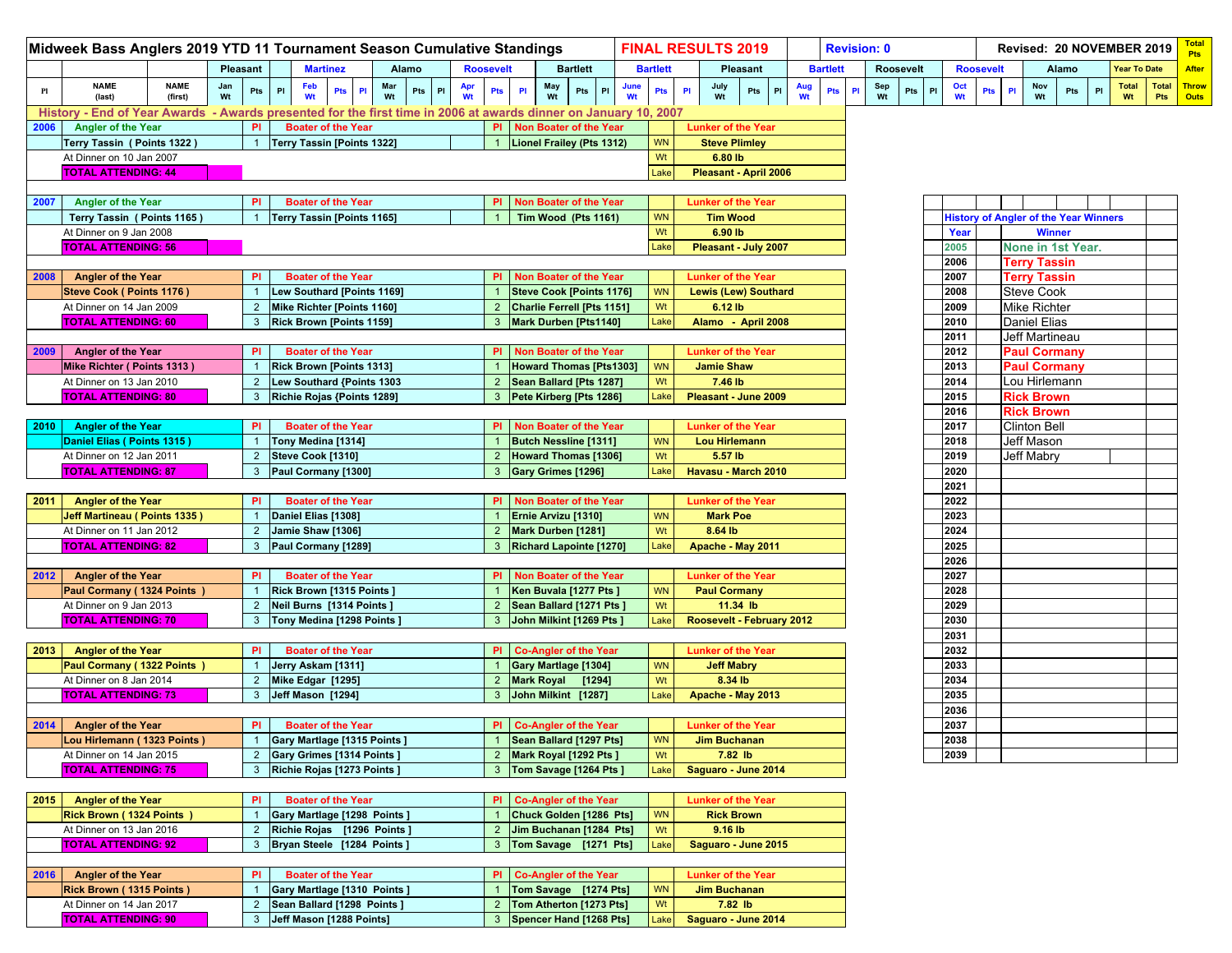|      | Midweek Bass Anglers 2019 YTD 11 Tournament Season Cumulative Standings                                         |                        |           |                |                                   |                 |                           |           |        |           |                      |                                 |                 |           |            |                 |    | <b>FINAL RESULTS 2019</b>   |                 |               |           | <b>Revision: 0</b> |    |                  |        |              |                  |                      |            | Revised: 20 NOVEMBER 2019                    |               |                    |                     | <b>Total</b><br><b>Pts</b> |
|------|-----------------------------------------------------------------------------------------------------------------|------------------------|-----------|----------------|-----------------------------------|-----------------|---------------------------|-----------|--------|-----------|----------------------|---------------------------------|-----------------|-----------|------------|-----------------|----|-----------------------------|-----------------|---------------|-----------|--------------------|----|------------------|--------|--------------|------------------|----------------------|------------|----------------------------------------------|---------------|--------------------|---------------------|----------------------------|
|      |                                                                                                                 |                        |           | Pleasant       |                                   | <b>Martinez</b> |                           | Alamo     |        |           | <b>Roosevelt</b>     |                                 | <b>Bartlett</b> |           |            | <b>Bartlett</b> |    |                             | <b>Pleasant</b> |               |           | <b>Bartlett</b>    |    | <b>Roosevelt</b> |        |              | <b>Roosevelt</b> |                      |            | Alamo                                        |               |                    | <b>Year To Date</b> | <b>After</b>               |
| Pl   | <b>NAME</b><br>(last)                                                                                           | <b>NAME</b><br>(first) | Jan<br>Wt | Pts            | Feb<br>PI<br>Wt                   |                 | Pts<br>PI                 | Mar<br>Wt | Pts PI | Apr<br>Wt | $\mathsf{PI}$<br>Pts | May<br>Wt                       |                 | PL<br>Pts | June<br>Wt | Pts             | PI | July<br>Wt                  | Pts             | $\mathsf{PI}$ | Aug<br>Wt | Pts                | PI | Sep<br>Wt        | Pts PI | Oct<br>Wt    |                  | Pts<br>$\mathsf{PI}$ | Nov<br>Wt  | Pts                                          | $\mathsf{PI}$ | <b>Total</b><br>Wt | <b>Pts</b>          | Total Throw<br><b>Outs</b> |
|      | History - End of Year Awards - Awards presented for the first time in 2006 at awards dinner on January 10, 2007 |                        |           |                |                                   |                 |                           |           |        |           |                      |                                 |                 |           |            |                 |    |                             |                 |               |           |                    |    |                  |        |              |                  |                      |            |                                              |               |                    |                     |                            |
| 2006 | <b>Angler of the Year</b>                                                                                       |                        |           | PI             |                                   |                 | <b>Boater of the Year</b> |           |        |           |                      | PI Non Boater of the Year       |                 |           |            |                 |    | <b>Lunker of the Year</b>   |                 |               |           |                    |    |                  |        |              |                  |                      |            |                                              |               |                    |                     |                            |
|      | Terry Tassin (Points 1322)                                                                                      |                        |           | $\overline{1}$ | Terry Tassin [Points 1322]        |                 |                           |           |        |           |                      | Lionel Frailey (Pts 1312)       |                 |           |            | <b>WN</b>       |    | <b>Steve Plimley</b>        |                 |               |           |                    |    |                  |        |              |                  |                      |            |                                              |               |                    |                     |                            |
|      | At Dinner on 10 Jan 2007<br><b>TOTAL ATTENDING: 44</b>                                                          |                        |           |                |                                   |                 |                           |           |        |           |                      |                                 |                 |           |            | Wt<br>Lake      |    | 6.80 lb                     |                 |               |           |                    |    |                  |        |              |                  |                      |            |                                              |               |                    |                     |                            |
|      |                                                                                                                 |                        |           |                |                                   |                 |                           |           |        |           |                      |                                 |                 |           |            |                 |    | Pleasant - April 2006       |                 |               |           |                    |    |                  |        |              |                  |                      |            |                                              |               |                    |                     |                            |
| 2007 | Angler of the Year                                                                                              |                        |           | PI             |                                   |                 | <b>Boater of the Year</b> |           |        |           |                      | Non Boater of the Year          |                 |           |            |                 |    | <b>Lunker of the Year</b>   |                 |               |           |                    |    |                  |        |              |                  |                      |            |                                              |               |                    |                     |                            |
|      | Terry Tassin (Points 1165)                                                                                      |                        |           | $\overline{1}$ | <b>Terry Tassin [Points 1165]</b> |                 |                           |           |        |           |                      | Tim Wood (Pts 1161)             |                 |           |            | <b>WN</b>       |    | <b>Tim Wood</b>             |                 |               |           |                    |    |                  |        |              |                  |                      |            | <b>History of Angler of the Year Winners</b> |               |                    |                     |                            |
|      | At Dinner on 9 Jan 2008                                                                                         |                        |           |                |                                   |                 |                           |           |        |           |                      |                                 |                 |           |            | Wt              |    | 6.90 lb                     |                 |               |           |                    |    |                  |        | Year         |                  |                      |            | <b>Winner</b>                                |               |                    |                     |                            |
|      | <b>TOTAL ATTENDING: 56</b>                                                                                      |                        |           |                |                                   |                 |                           |           |        |           |                      |                                 |                 |           |            | Lake            |    | Pleasant - July 2007        |                 |               |           |                    |    |                  |        | 2005         |                  |                      |            | None in 1st Year.                            |               |                    |                     |                            |
| 2008 | <b>Angler of the Year</b>                                                                                       |                        |           | PI             |                                   |                 | <b>Boater of the Year</b> |           |        |           |                      | Non Boater of the Year          |                 |           |            |                 |    | <b>Lunker of the Year</b>   |                 |               |           |                    |    |                  |        | 2006<br>2007 |                  |                      |            | <b>Terry Tassin</b><br><b>Terry Tassin</b>   |               |                    |                     |                            |
|      | Steve Cook (Points 1176)                                                                                        |                        |           | $\overline{1}$ | Lew Southard [Points 1169]        |                 |                           |           |        |           |                      | <b>Steve Cook [Points 1176]</b> |                 |           |            | <b>WN</b>       |    | <b>Lewis (Lew) Southard</b> |                 |               |           |                    |    |                  |        | 2008         |                  |                      |            | Steve Cook                                   |               |                    |                     |                            |
|      | At Dinner on 14 Jan 2009                                                                                        |                        |           | $2^{\circ}$    | Mike Richter [Points 1160]        |                 |                           |           |        |           | $2^{\circ}$          | Charlie Ferrell [Pts 1151]      |                 |           |            | Wt              |    | 6.12 lb                     |                 |               |           |                    |    |                  |        | 2009         |                  |                      |            | <b>Mike Richter</b>                          |               |                    |                     |                            |
|      | <b>TOTAL ATTENDING: 60</b>                                                                                      |                        |           | $\mathbf{3}$   | <b>Rick Brown [Points 1159]</b>   |                 |                           |           |        |           | 3                    | <b>Mark Durben [Pts1140]</b>    |                 |           |            | Lake            |    | Alamo - April 2008          |                 |               |           |                    |    |                  |        | 2010         |                  |                      |            | <b>Daniel Elias</b>                          |               |                    |                     |                            |
|      |                                                                                                                 |                        |           |                |                                   |                 |                           |           |        |           |                      |                                 |                 |           |            |                 |    |                             |                 |               |           |                    |    |                  |        | 2011         |                  |                      |            | Jeff Martineau                               |               |                    |                     |                            |
| 2009 | <b>Angler of the Year</b>                                                                                       |                        |           | <b>PI</b>      |                                   |                 | <b>Boater of the Year</b> |           |        |           |                      | Non Boater of the Year          |                 |           |            |                 |    | <b>Lunker of the Year</b>   |                 |               |           |                    |    |                  |        | 2012         |                  |                      |            | <b>Paul Cormany</b>                          |               |                    |                     |                            |
|      | Mike Richter (Points 1313)                                                                                      |                        |           | $\overline{1}$ | Rick Brown [Points 1313]          |                 |                           |           |        |           |                      | <b>Howard Thomas [Pts1303]</b>  |                 |           |            | <b>WN</b>       |    | <b>Jamie Shaw</b>           |                 |               |           |                    |    |                  |        | 2013         |                  |                      |            | <b>Paul Cormany</b>                          |               |                    |                     |                            |
|      | At Dinner on 13 Jan 2010                                                                                        |                        |           | $2^{\circ}$    | Lew Southard {Points 1303         |                 |                           |           |        |           |                      | 2 Sean Ballard [Pts 1287]       |                 |           |            | Wt              |    | 7.46 lb                     |                 |               |           |                    |    |                  |        | 2014         |                  |                      |            | Lou Hirlemann                                |               |                    |                     |                            |
|      | <b>TOTAL ATTENDING: 80</b>                                                                                      |                        |           | $\mathbf{3}$   | Richie Rojas {Points 1289]        |                 |                           |           |        |           | 3                    | Pete Kirberg [Pts 1286]         |                 |           |            | Lake            |    | Pleasant - June 2009        |                 |               |           |                    |    |                  |        | 2015         |                  |                      |            | <b>Rick Brown</b>                            |               |                    |                     |                            |
| 2010 | <b>Angler of the Year</b>                                                                                       |                        |           | PI             |                                   |                 | <b>Boater of the Year</b> |           |        |           |                      | Non Boater of the Year          |                 |           |            |                 |    | <b>Lunker of the Year</b>   |                 |               |           |                    |    |                  |        | 2016<br>2017 |                  |                      |            | <b>Rick Brown</b><br><b>Clinton Bell</b>     |               |                    |                     |                            |
|      | Daniel Elias (Points 1315)                                                                                      |                        |           | $\overline{1}$ | Tony Medina [1314]                |                 |                           |           |        |           |                      | Butch Nessline [1311]           |                 |           |            | <b>WN</b>       |    | <b>Lou Hirlemann</b>        |                 |               |           |                    |    |                  |        | 2018         |                  |                      | Jeff Mason |                                              |               |                    |                     |                            |
|      | At Dinner on 12 Jan 2011                                                                                        |                        |           | $2^{\circ}$    | Steve Cook [1310]                 |                 |                           |           |        |           |                      | 2 Howard Thomas [1306]          |                 |           |            | Wt              |    | 5.57 lb                     |                 |               |           |                    |    |                  |        | 2019         |                  |                      | Jeff Mabry |                                              |               |                    |                     |                            |
|      | <b>TOTAL ATTENDING: 87</b>                                                                                      |                        |           | 3              | Paul Cormany [1300]               |                 |                           |           |        |           | 3                    | <b>Gary Grimes [1296]</b>       |                 |           |            | Lake            |    | Havasu - March 2010         |                 |               |           |                    |    |                  |        | 2020         |                  |                      |            |                                              |               |                    |                     |                            |
|      |                                                                                                                 |                        |           |                |                                   |                 |                           |           |        |           |                      |                                 |                 |           |            |                 |    |                             |                 |               |           |                    |    |                  |        | 2021         |                  |                      |            |                                              |               |                    |                     |                            |
| 2011 | <b>Angler of the Year</b>                                                                                       |                        |           | <b>PI</b>      |                                   |                 | <b>Boater of the Year</b> |           |        |           |                      | Non Boater of the Year          |                 |           |            |                 |    | <b>Lunker of the Year</b>   |                 |               |           |                    |    |                  |        | 2022         |                  |                      |            |                                              |               |                    |                     |                            |
|      | Jeff Martineau ( Points 1335                                                                                    |                        |           | $\overline{1}$ | Daniel Elias [1308]               |                 |                           |           |        |           |                      | Ernie Arvizu [1310]             |                 |           |            | <b>WN</b>       |    | <b>Mark Poe</b>             |                 |               |           |                    |    |                  |        | 2023         |                  |                      |            |                                              |               |                    |                     |                            |
|      | At Dinner on 11 Jan 2012                                                                                        |                        |           |                | 2 Jamie Shaw [1306]               |                 |                           |           |        |           |                      | 2 Mark Durben [1281]            |                 |           |            | Wt              |    | 8.64 lb                     |                 |               |           |                    |    |                  |        | 2024         |                  |                      |            |                                              |               |                    |                     |                            |
|      | <b>TOTAL ATTENDING: 82</b>                                                                                      |                        |           | $\mathbf{3}$   | Paul Cormany [1289]               |                 |                           |           |        |           |                      | <b>Richard Lapointe [1270]</b>  |                 |           |            | Lake            |    | Apache - May 2011           |                 |               |           |                    |    |                  |        | 2025<br>2026 |                  |                      |            |                                              |               |                    |                     |                            |
| 2012 | <b>Angler of the Year</b>                                                                                       |                        |           | PI             |                                   |                 | <b>Boater of the Year</b> |           |        |           |                      | Non Boater of the Year          |                 |           |            |                 |    | <b>Lunker of the Year</b>   |                 |               |           |                    |    |                  |        | 2027         |                  |                      |            |                                              |               |                    |                     |                            |
|      | Paul Cormany (1324 Points                                                                                       |                        |           | $\overline{1}$ | Rick Brown [1315 Points]          |                 |                           |           |        |           |                      | Ken Buvala [1277 Pts ]          |                 |           |            | <b>WN</b>       |    | <b>Paul Cormany</b>         |                 |               |           |                    |    |                  |        | 2028         |                  |                      |            |                                              |               |                    |                     |                            |
|      | At Dinner on 9 Jan 2013                                                                                         |                        |           | $\overline{2}$ | Neil Burns [1314 Points]          |                 |                           |           |        |           |                      | 2   Sean Ballard [1271 Pts ]    |                 |           |            | Wt              |    | 11.34 lb                    |                 |               |           |                    |    |                  |        | 2029         |                  |                      |            |                                              |               |                    |                     |                            |
|      | <b>TOTAL ATTENDING: 70</b>                                                                                      |                        |           | $\mathbf{3}$   | Tony Medina [1298 Points]         |                 |                           |           |        |           | 3                    | John Milkint [1269 Pts ]        |                 |           |            | Lake            |    | Roosevelt - February 2012   |                 |               |           |                    |    |                  |        | 2030         |                  |                      |            |                                              |               |                    |                     |                            |
|      |                                                                                                                 |                        |           |                |                                   |                 |                           |           |        |           |                      |                                 |                 |           |            |                 |    |                             |                 |               |           |                    |    |                  |        | 2031         |                  |                      |            |                                              |               |                    |                     |                            |
| 2013 | <b>Angler of the Year</b>                                                                                       |                        |           | <b>PI</b>      |                                   |                 | <b>Boater of the Year</b> |           |        |           |                      | <b>Co-Angler of the Year</b>    |                 |           |            |                 |    | <b>Lunker of the Year</b>   |                 |               |           |                    |    |                  |        | 2032         |                  |                      |            |                                              |               |                    |                     |                            |
|      | Paul Cormany (1322 Points                                                                                       |                        |           | $\overline{1}$ | Jerry Askam [1311]                |                 |                           |           |        |           |                      | Gary Martlage [1304]            |                 |           |            | <b>WN</b>       |    | <b>Jeff Mabry</b>           |                 |               |           |                    |    |                  |        | 2033         |                  |                      |            |                                              |               |                    |                     |                            |
|      | At Dinner on 8 Jan 2014                                                                                         |                        |           | $2^{\circ}$    | Mike Edgar [1295]                 |                 |                           |           |        |           |                      | 2 Mark Royal                    |                 | [1294]    |            | Wt              |    | 8.34 lb                     |                 |               |           |                    |    |                  |        | 2034         |                  |                      |            |                                              |               |                    |                     |                            |
|      | <b>TOTAL ATTENDING: 73</b>                                                                                      |                        |           | 3              | Jeff Mason [1294]                 |                 |                           |           |        |           | 3                    | John Milkint [1287]             |                 |           |            | Lake            |    | Apache - May 2013           |                 |               |           |                    |    |                  |        | 2035<br>2036 |                  |                      |            |                                              |               |                    |                     |                            |
| 2014 | <b>Angler of the Year</b>                                                                                       |                        |           | PI             |                                   |                 | <b>Boater of the Year</b> |           |        |           |                      | <b>Co-Angler of the Year</b>    |                 |           |            |                 |    | <b>Lunker of the Year</b>   |                 |               |           |                    |    |                  |        | 2037         |                  |                      |            |                                              |               |                    |                     |                            |
|      | Lou Hirlemann ( 1323 Points )                                                                                   |                        |           |                | Gary Martlage [1315 Points]       |                 |                           |           |        |           |                      | 1 Sean Ballard [1297 Pts]       |                 |           |            | <b>WN</b>       |    | <b>Jim Buchanan</b>         |                 |               |           |                    |    |                  |        | 2038         |                  |                      |            |                                              |               |                    |                     |                            |
|      | At Dinner on 14 Jan 2015                                                                                        |                        |           |                | 2 Gary Grimes [1314 Points]       |                 |                           |           |        |           |                      | 2 Mark Royal [1292 Pts ]        |                 |           |            | Wt              |    | 7.82 lb                     |                 |               |           |                    |    |                  |        | 2039         |                  |                      |            |                                              |               |                    |                     |                            |
|      | <b>TOTAL ATTENDING: 75</b>                                                                                      |                        |           | 3              | Richie Rojas [1273 Points]        |                 |                           |           |        |           | $\mathbf{3}$         | Tom Savage [1264 Pts ]          |                 |           |            | Lake            |    | Saguaro - June 2014         |                 |               |           |                    |    |                  |        |              |                  |                      |            |                                              |               |                    |                     |                            |
|      |                                                                                                                 |                        |           |                |                                   |                 |                           |           |        |           |                      |                                 |                 |           |            |                 |    |                             |                 |               |           |                    |    |                  |        |              |                  |                      |            |                                              |               |                    |                     |                            |
| 2015 | <b>Angler of the Year</b>                                                                                       |                        |           | PI             |                                   |                 | <b>Boater of the Year</b> |           |        |           |                      | <b>Co-Angler of the Year</b>    |                 |           |            |                 |    | <b>Lunker of the Year</b>   |                 |               |           |                    |    |                  |        |              |                  |                      |            |                                              |               |                    |                     |                            |
|      | Rick Brown (1324 Points)                                                                                        |                        |           | $\overline{1}$ | Gary Martlage [1298 Points ]      |                 |                           |           |        |           |                      | Chuck Golden [1286 Pts]         |                 |           |            | <b>WN</b>       |    | <b>Rick Brown</b>           |                 |               |           |                    |    |                  |        |              |                  |                      |            |                                              |               |                    |                     |                            |
|      | At Dinner on 13 Jan 2016                                                                                        |                        |           | $\overline{2}$ | Richie Rojas [1296 Points]        |                 |                           |           |        |           | $\overline{2}$       | Jim Buchanan [1284 Pts]         |                 |           |            | Wt              |    | 9.16 lb                     |                 |               |           |                    |    |                  |        |              |                  |                      |            |                                              |               |                    |                     |                            |
|      | <b>TOTAL ATTENDING: 92</b>                                                                                      |                        |           | 3              | Bryan Steele [1284 Points ]       |                 |                           |           |        |           | 3                    | Tom Savage [1271 Pts]           |                 |           |            | Lake            |    | Saguaro - June 2015         |                 |               |           |                    |    |                  |        |              |                  |                      |            |                                              |               |                    |                     |                            |
| 2016 | <b>Angler of the Year</b>                                                                                       |                        |           | PI             |                                   |                 | <b>Boater of the Year</b> |           |        |           |                      | <b>Co-Angler of the Year</b>    |                 |           |            |                 |    | <b>Lunker of the Year</b>   |                 |               |           |                    |    |                  |        |              |                  |                      |            |                                              |               |                    |                     |                            |
|      | Rick Brown (1315 Points)                                                                                        |                        |           | $\overline{1}$ | Gary Martlage [1310 Points]       |                 |                           |           |        |           |                      | Tom Savage [1274 Pts]           |                 |           |            | <b>WN</b>       |    | <b>Jim Buchanan</b>         |                 |               |           |                    |    |                  |        |              |                  |                      |            |                                              |               |                    |                     |                            |
|      | At Dinner on 14 Jan 2017                                                                                        |                        |           | $2^{\circ}$    | Sean Ballard [1298 Points]        |                 |                           |           |        |           | $\mathbf{2}$         | Tom Atherton [1273 Pts]         |                 |           |            | Wt              |    | 7.82 lb                     |                 |               |           |                    |    |                  |        |              |                  |                      |            |                                              |               |                    |                     |                            |
|      | <b>TOTAL ATTENDING: 90</b>                                                                                      |                        |           | $\mathbf{3}$   | Jeff Mason [1288 Points]          |                 |                           |           |        |           | 3                    | Spencer Hand [1268 Pts]         |                 |           |            | Lake            |    | Saguaro - June 2014         |                 |               |           |                    |    |                  |        |              |                  |                      |            |                                              |               |                    |                     |                            |

<sup>3</sup> **Jeff Mason [1288 Points]** <sup>3</sup> **Spencer Hand [1268 Pts]** Lake **Saguaro - June 2014**